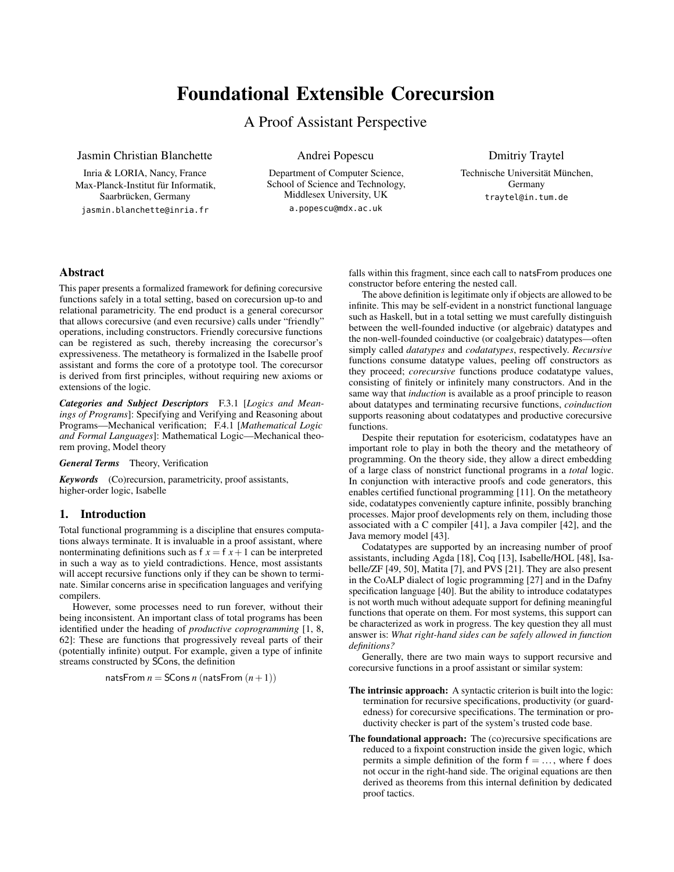# Foundational Extensible Corecursion

# A Proof Assistant Perspective

Jasmin Christian Blanchette

Inria & LORIA, Nancy, France Max-Planck-Institut für Informatik, Saarbrücken, Germany jasmin.blanchette@inria.fr

Andrei Popescu

Department of Computer Science, School of Science and Technology, Middlesex University, UK a.popescu@mdx.ac.uk

Dmitriy Traytel

Technische Universität München, Germany traytel@in.tum.de

# Abstract

This paper presents a formalized framework for defining corecursive functions safely in a total setting, based on corecursion up-to and relational parametricity. The end product is a general corecursor that allows corecursive (and even recursive) calls under "friendly" operations, including constructors. Friendly corecursive functions can be registered as such, thereby increasing the corecursor's expressiveness. The metatheory is formalized in the Isabelle proof assistant and forms the core of a prototype tool. The corecursor is derived from first principles, without requiring new axioms or extensions of the logic.

*Categories and Subject Descriptors* F.3.1 [*Logics and Meanings of Programs*]: Specifying and Verifying and Reasoning about Programs—Mechanical verification; F.4.1 [*Mathematical Logic and Formal Languages*]: Mathematical Logic—Mechanical theorem proving, Model theory

*General Terms* Theory, Verification

*Keywords* (Co)recursion, parametricity, proof assistants, higher-order logic, Isabelle

# 1. Introduction

Total functional programming is a discipline that ensures computations always terminate. It is invaluable in a proof assistant, where nonterminating definitions such as  $f x = f x + 1$  can be interpreted in such a way as to yield contradictions. Hence, most assistants will accept recursive functions only if they can be shown to terminate. Similar concerns arise in specification languages and verifying compilers.

However, some processes need to run forever, without their being inconsistent. An important class of total programs has been identified under the heading of *productive coprogramming* [\[1,](#page-11-0) [8,](#page-11-1) [62\]](#page-12-0): These are functions that progressively reveal parts of their (potentially infinite) output. For example, given a type of infinite streams constructed by SCons, the definition

natsFrom 
$$
n =
$$
 SCons  $n$  (natsFrom  $(n+1)$ )

falls within this fragment, since each call to natsFrom produces one constructor before entering the nested call.

The above definition is legitimate only if objects are allowed to be infinite. This may be self-evident in a nonstrict functional language such as Haskell, but in a total setting we must carefully distinguish between the well-founded inductive (or algebraic) datatypes and the non-well-founded coinductive (or coalgebraic) datatypes—often simply called *datatypes* and *codatatypes*, respectively. *Recursive* functions consume datatype values, peeling off constructors as they proceed; *corecursive* functions produce codatatype values, consisting of finitely or infinitely many constructors. And in the same way that *induction* is available as a proof principle to reason about datatypes and terminating recursive functions, *coinduction* supports reasoning about codatatypes and productive corecursive functions.

Despite their reputation for esotericism, codatatypes have an important role to play in both the theory and the metatheory of programming. On the theory side, they allow a direct embedding of a large class of nonstrict functional programs in a *total* logic. In conjunction with interactive proofs and code generators, this enables certified functional programming [\[11\]](#page-11-2). On the metatheory side, codatatypes conveniently capture infinite, possibly branching processes. Major proof developments rely on them, including those associated with a C compiler [\[41\]](#page-12-1), a Java compiler [\[42\]](#page-12-2), and the Java memory model [\[43\]](#page-12-3).

Codatatypes are supported by an increasing number of proof assistants, including Agda [\[18\]](#page-12-4), Coq [\[13\]](#page-11-3), Isabelle/HOL [\[48\]](#page-12-5), Isabelle/ZF [\[49,](#page-12-6) [50\]](#page-12-7), Matita [\[7\]](#page-11-4), and PVS [\[21\]](#page-12-8). They are also present in the CoALP dialect of logic programming [\[27\]](#page-12-9) and in the Dafny specification language [\[40\]](#page-12-10). But the ability to introduce codatatypes is not worth much without adequate support for defining meaningful functions that operate on them. For most systems, this support can be characterized as work in progress. The key question they all must answer is: *What right-hand sides can be safely allowed in function definitions?*

Generally, there are two main ways to support recursive and corecursive functions in a proof assistant or similar system:

- The intrinsic approach: A syntactic criterion is built into the logic: termination for recursive specifications, productivity (or guardedness) for corecursive specifications. The termination or productivity checker is part of the system's trusted code base.
- The foundational approach: The (co)recursive specifications are reduced to a fixpoint construction inside the given logic, which permits a simple definition of the form  $f = \ldots$ , where f does not occur in the right-hand side. The original equations are then derived as theorems from this internal definition by dedicated proof tactics.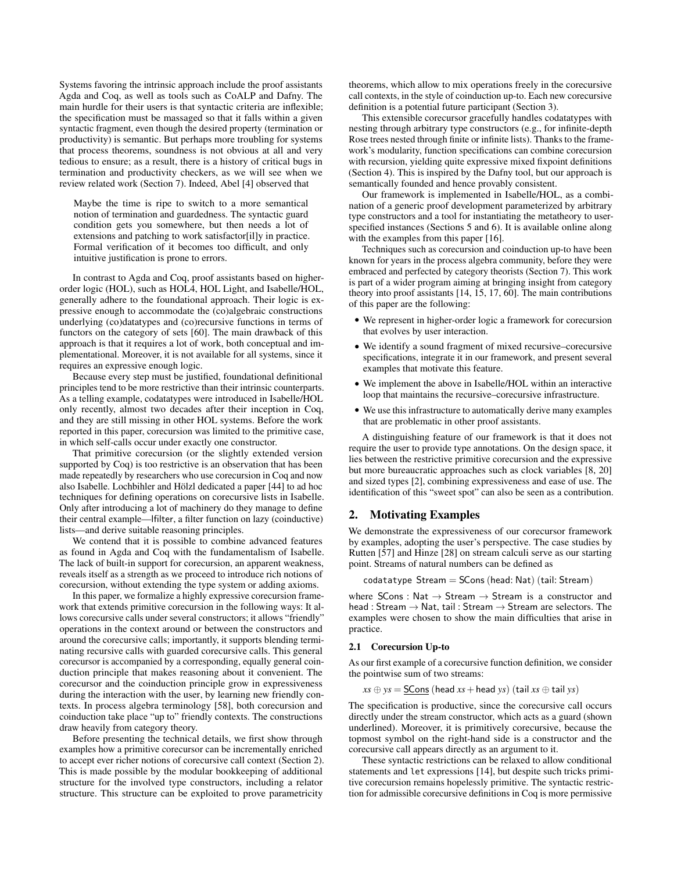Systems favoring the intrinsic approach include the proof assistants Agda and Coq, as well as tools such as CoALP and Dafny. The main hurdle for their users is that syntactic criteria are inflexible; the specification must be massaged so that it falls within a given syntactic fragment, even though the desired property (termination or productivity) is semantic. But perhaps more troubling for systems that process theorems, soundness is not obvious at all and very tedious to ensure; as a result, there is a history of critical bugs in termination and productivity checkers, as we will see when we review related work (Section [7\)](#page-10-0). Indeed, Abel [\[4\]](#page-11-5) observed that

Maybe the time is ripe to switch to a more semantical notion of termination and guardedness. The syntactic guard condition gets you somewhere, but then needs a lot of extensions and patching to work satisfactor[il]y in practice. Formal verification of it becomes too difficult, and only intuitive justification is prone to errors.

In contrast to Agda and Coq, proof assistants based on higherorder logic (HOL), such as HOL4, HOL Light, and Isabelle/HOL, generally adhere to the foundational approach. Their logic is expressive enough to accommodate the (co)algebraic constructions underlying (co)datatypes and (co)recursive functions in terms of functors on the category of sets [\[60\]](#page-12-11). The main drawback of this approach is that it requires a lot of work, both conceptual and implementational. Moreover, it is not available for all systems, since it requires an expressive enough logic.

Because every step must be justified, foundational definitional principles tend to be more restrictive than their intrinsic counterparts. As a telling example, codatatypes were introduced in Isabelle/HOL only recently, almost two decades after their inception in Coq, and they are still missing in other HOL systems. Before the work reported in this paper, corecursion was limited to the primitive case, in which self-calls occur under exactly one constructor.

That primitive corecursion (or the slightly extended version supported by Coq) is too restrictive is an observation that has been made repeatedly by researchers who use corecursion in Coq and now also Isabelle. Lochbihler and Hölzl dedicated a paper [\[44\]](#page-12-12) to ad hoc techniques for defining operations on corecursive lists in Isabelle. Only after introducing a lot of machinery do they manage to define their central example—lfilter, a filter function on lazy (coinductive) lists—and derive suitable reasoning principles.

We contend that it is possible to combine advanced features as found in Agda and Coq with the fundamentalism of Isabelle. The lack of built-in support for corecursion, an apparent weakness, reveals itself as a strength as we proceed to introduce rich notions of corecursion, without extending the type system or adding axioms.

In this paper, we formalize a highly expressive corecursion framework that extends primitive corecursion in the following ways: It allows corecursive calls under several constructors; it allows "friendly" operations in the context around or between the constructors and around the corecursive calls; importantly, it supports blending terminating recursive calls with guarded corecursive calls. This general corecursor is accompanied by a corresponding, equally general coinduction principle that makes reasoning about it convenient. The corecursor and the coinduction principle grow in expressiveness during the interaction with the user, by learning new friendly contexts. In process algebra terminology [\[58\]](#page-12-13), both corecursion and coinduction take place "up to" friendly contexts. The constructions draw heavily from category theory.

Before presenting the technical details, we first show through examples how a primitive corecursor can be incrementally enriched to accept ever richer notions of corecursive call context (Section [2\)](#page-1-0). This is made possible by the modular bookkeeping of additional structure for the involved type constructors, including a relator structure. This structure can be exploited to prove parametricity

theorems, which allow to mix operations freely in the corecursive call contexts, in the style of coinduction up-to. Each new corecursive definition is a potential future participant (Section [3\)](#page-4-0).

This extensible corecursor gracefully handles codatatypes with nesting through arbitrary type constructors (e.g., for infinite-depth Rose trees nested through finite or infinite lists). Thanks to the framework's modularity, function specifications can combine corecursion with recursion, yielding quite expressive mixed fixpoint definitions (Section [4\)](#page-9-0). This is inspired by the Dafny tool, but our approach is semantically founded and hence provably consistent.

Our framework is implemented in Isabelle/HOL, as a combination of a generic proof development parameterized by arbitrary type constructors and a tool for instantiating the metatheory to userspecified instances (Sections [5](#page-9-1) and [6\)](#page-10-1). It is available online along with the examples from this paper [\[16\]](#page-11-6).

Techniques such as corecursion and coinduction up-to have been known for years in the process algebra community, before they were embraced and perfected by category theorists (Section [7\)](#page-10-0). This work is part of a wider program aiming at bringing insight from category theory into proof assistants [\[14,](#page-11-7) [15,](#page-11-8) [17,](#page-12-14) [60\]](#page-12-11). The main contributions of this paper are the following:

- We represent in higher-order logic a framework for corecursion that evolves by user interaction.
- We identify a sound fragment of mixed recursive–corecursive specifications, integrate it in our framework, and present several examples that motivate this feature.
- We implement the above in Isabelle/HOL within an interactive loop that maintains the recursive–corecursive infrastructure.
- We use this infrastructure to automatically derive many examples that are problematic in other proof assistants.

A distinguishing feature of our framework is that it does not require the user to provide type annotations. On the design space, it lies between the restrictive primitive corecursion and the expressive but more bureaucratic approaches such as clock variables [\[8,](#page-11-1) [20\]](#page-12-15) and sized types [\[2\]](#page-11-9), combining expressiveness and ease of use. The identification of this "sweet spot" can also be seen as a contribution.

# <span id="page-1-0"></span>2. Motivating Examples

We demonstrate the expressiveness of our corecursor framework by examples, adopting the user's perspective. The case studies by Rutten [\[57\]](#page-12-16) and Hinze [\[28\]](#page-12-17) on stream calculi serve as our starting point. Streams of natural numbers can be defined as

 $codatatype Stream = SCons(head: Nat) (tail: Stream)$ 

where SCons : Nat  $\rightarrow$  Stream  $\rightarrow$  Stream is a constructor and head : Stream  $\rightarrow$  Nat, tail : Stream  $\rightarrow$  Stream are selectors. The examples were chosen to show the main difficulties that arise in practice.

#### <span id="page-1-1"></span>2.1 Corecursion Up-to

As our first example of a corecursive function definition, we consider the pointwise sum of two streams:

 $xs \oplus ys = \underline{SCons}$  (head  $xs + head ys)$  (tail  $xs \oplus tail ys$ )

The specification is productive, since the corecursive call occurs directly under the stream constructor, which acts as a guard (shown underlined). Moreover, it is primitively corecursive, because the topmost symbol on the right-hand side is a constructor and the corecursive call appears directly as an argument to it.

These syntactic restrictions can be relaxed to allow conditional statements and let expressions [\[14\]](#page-11-7), but despite such tricks primitive corecursion remains hopelessly primitive. The syntactic restriction for admissible corecursive definitions in Coq is more permissive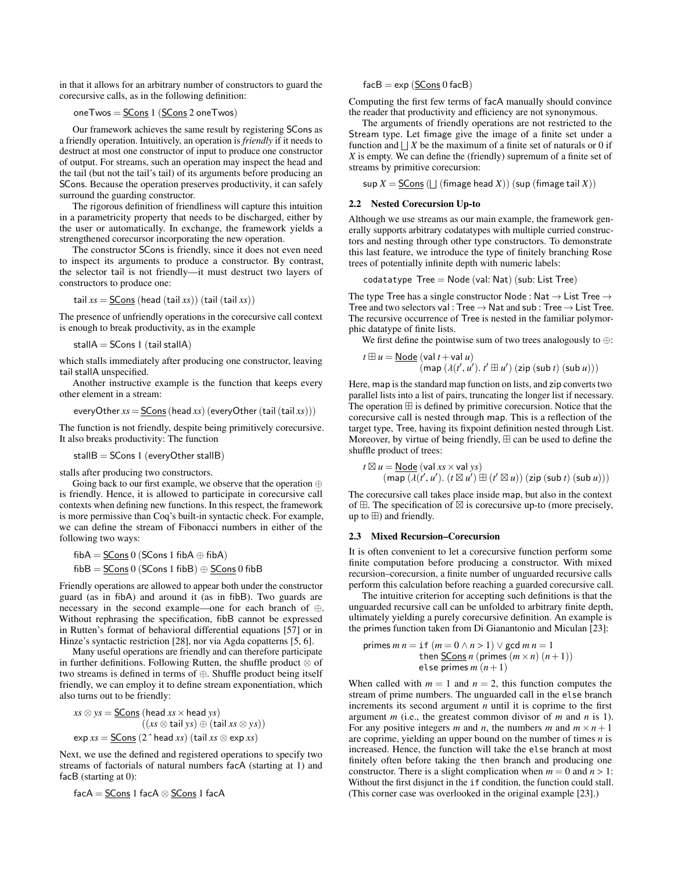in that it allows for an arbitrary number of constructors to guard the corecursive calls, as in the following definition:

oneTwos =  $SCons 1$  ( $SCons 2$  oneTwos)

Our framework achieves the same result by registering SCons as a friendly operation. Intuitively, an operation is *friendly* if it needs to destruct at most one constructor of input to produce one constructor of output. For streams, such an operation may inspect the head and the tail (but not the tail's tail) of its arguments before producing an SCons. Because the operation preserves productivity, it can safely surround the guarding constructor.

The rigorous definition of friendliness will capture this intuition in a parametricity property that needs to be discharged, either by the user or automatically. In exchange, the framework yields a strengthened corecursor incorporating the new operation.

The constructor SCons is friendly, since it does not even need to inspect its arguments to produce a constructor. By contrast, the selector tail is not friendly—it must destruct two layers of constructors to produce one:

 $\text{tail } xs = \underline{\text{SCons}} \text{ (head (tail } xs) \text{ ) (tail (tail } xs) \text{ ) }$ 

The presence of unfriendly operations in the corecursive call context is enough to break productivity, as in the example

stall $A =$ SCons 1 (tail stall $A$ )

which stalls immediately after producing one constructor, leaving tail stallA unspecified.

Another instructive example is the function that keeps every other element in a stream:

$$
everyOther xs = \underline{SCons} (head xs) (everyOther (tail (tail xs)))
$$

The function is not friendly, despite being primitively corecursive. It also breaks productivity: The function

stall $B =$ SCons 1 (everyOther stallB)

stalls after producing two constructors.

Going back to our first example, we observe that the operation  $oplus$ is friendly. Hence, it is allowed to participate in corecursive call contexts when defining new functions. In this respect, the framework is more permissive than Coq's built-in syntactic check. For example, we can define the stream of Fibonacci numbers in either of the following two ways:

fibA =  $SCons 0$  (SCons 1 fibA  $\oplus$  fibA) fibB =  $SCons 0$  (SCons 1 fibB)  $\oplus$   $SCons 0$  fibB

Friendly operations are allowed to appear both under the constructor guard (as in fibA) and around it (as in fibB). Two guards are necessary in the second example—one for each branch of ⊕. Without rephrasing the specification, fibB cannot be expressed in Rutten's format of behavioral differential equations [\[57\]](#page-12-16) or in Hinze's syntactic restriction [\[28\]](#page-12-17), nor via Agda copatterns [\[5,](#page-11-10) [6\]](#page-11-11).

Many useful operations are friendly and can therefore participate in further definitions. Following Rutten, the shuffle product  $\otimes$  of two streams is defined in terms of ⊕. Shuffle product being itself friendly, we can employ it to define stream exponentiation, which also turns out to be friendly:

$$
xs \otimes ys = \underline{SCons} \text{ (head } xs \times head ys) ((xs \otimes tail ys) \oplus (tail xs \otimes ys)) exp xs = \underline{SCons} (2 \hat{\ } head xs) \text{ (tail } xs \otimes exp xs)
$$

Next, we use the defined and registered operations to specify two streams of factorials of natural numbers facA (starting at 1) and facB (starting at 0):

$$
\mathsf{facA} = \underline{\mathsf{SCons}} \ 1 \ \mathsf{facA} \otimes \underline{\mathsf{SCons}} \ 1 \ \mathsf{facA}
$$

 $facB = exp (SCons 0 facB)$ 

Computing the first few terms of facA manually should convince the reader that productivity and efficiency are not synonymous.

The arguments of friendly operations are not restricted to the Stream type. Let fimage give the image of a finite set under a function and  $\iint X$  be the maximum of a finite set of naturals or 0 if *X* is empty. We can define the (friendly) supremum of a finite set of streams by primitive corecursion:

 $\sup X = \underline{\textsf{SCons}} \left( \bigsqcup \left( \text{fimage head } X \right) \right) \left( \sup \left( \text{fimage tail } X \right) \right)$ 

# <span id="page-2-0"></span>2.2 Nested Corecursion Up-to

Although we use streams as our main example, the framework generally supports arbitrary codatatypes with multiple curried constructors and nesting through other type constructors. To demonstrate this last feature, we introduce the type of finitely branching Rose trees of potentially infinite depth with numeric labels:

$$
codatotype\ Tree = Node\ (val: Nat)\ (sub: List\ Tree)
$$

The type Tree has a single constructor Node : Nat  $\rightarrow$  List Tree  $\rightarrow$ Tree and two selectors val : Tree  $\rightarrow$  Nat and sub : Tree  $\rightarrow$  List Tree. The recursive occurrence of Tree is nested in the familiar polymorphic datatype of finite lists.

We first define the pointwise sum of two trees analogously to ⊕:

$$
t \boxplus u = \underline{\text{Node}} (\text{val } t + \text{val } u)
$$
  
(map  $(\lambda(t', u'), t' \boxplus u') (\text{zip} (\text{sub } t) (\text{sub } u)))$ 

Here, map is the standard map function on lists, and zip converts two parallel lists into a list of pairs, truncating the longer list if necessary. The operation  $\boxplus$  is defined by primitive corecursion. Notice that the corecursive call is nested through map. This is a reflection of the target type, Tree, having its fixpoint definition nested through List. Moreover, by virtue of being friendly,  $\boxplus$  can be used to define the shuffle product of trees:

$$
t \boxtimes u = \underline{\text{Node}} (\text{val } xs \times \text{val } ys) (\text{map } (\lambda(t', u'), (t \boxtimes u') \boxplus (t' \boxtimes u)) (\text{zip } (\text{sub } t) (\text{sub } u)))
$$

The corecursive call takes place inside map, but also in the context of  $\boxplus$ . The specification of  $\boxtimes$  is corecursive up-to (more precisely, up to  $\boxplus$ ) and friendly.

#### <span id="page-2-1"></span>2.3 Mixed Recursion–Corecursion

It is often convenient to let a corecursive function perform some finite computation before producing a constructor. With mixed recursion–corecursion, a finite number of unguarded recursive calls perform this calculation before reaching a guarded corecursive call.

The intuitive criterion for accepting such definitions is that the unguarded recursive call can be unfolded to arbitrary finite depth, ultimately yielding a purely corecursive definition. An example is the primes function taken from Di Gianantonio and Miculan [\[23\]](#page-12-18):

primes 
$$
m n = \text{if } (m = 0 \land n > 1) \lor \text{gcd } m n = 1
$$
  
then SCons  $n \text{ (primes } (m \times n) (n+1) \text{)}$   
else primes  $m (n+1)$ 

When called with  $m = 1$  and  $n = 2$ , this function computes the stream of prime numbers. The unguarded call in the else branch increments its second argument *n* until it is coprime to the first argument *m* (i.e., the greatest common divisor of *m* and *n* is 1). For any positive integers *m* and *n*, the numbers *m* and  $m \times n + 1$ are coprime, yielding an upper bound on the number of times *n* is increased. Hence, the function will take the else branch at most finitely often before taking the then branch and producing one constructor. There is a slight complication when  $m = 0$  and  $n > 1$ : Without the first disjunct in the if condition, the function could stall. (This corner case was overlooked in the original example [\[23\]](#page-12-18).)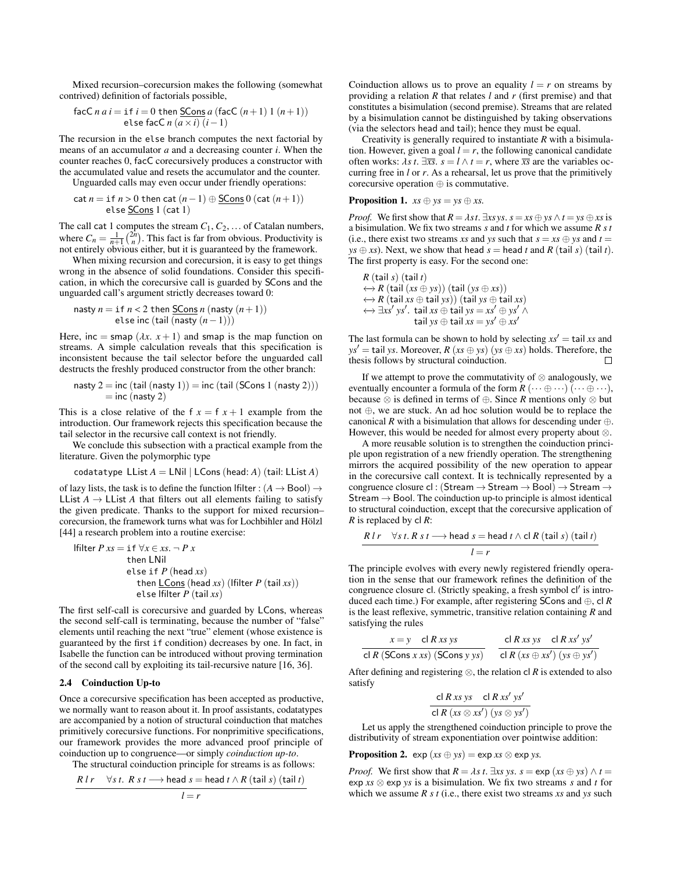Mixed recursion–corecursion makes the following (somewhat contrived) definition of factorials possible,

$$
\begin{array}{c} \text{facC } n \ a \ i = \text{if } i = 0 \ \text{then } \underline{\text{SCons}} \ a \ (\text{facC } (n+1) \ 1 \ (n+1)) \\ \text{else } \text{facC } n \ (a \times i) \ (i-1) \end{array}
$$

The recursion in the else branch computes the next factorial by means of an accumulator *a* and a decreasing counter *i*. When the counter reaches 0, facC corecursively produces a constructor with the accumulated value and resets the accumulator and the counter. Unguarded calls may even occur under friendly operations:

$$
cat n = if n > 0 then cat (n - 1) \oplus \underline{SCons} 0 (cat (n + 1))
$$
  
else SCons 1 (cat 1)

The call cat <sup>1</sup> computes the stream *<sup>C</sup>*1, *<sup>C</sup>*2, ... of Catalan numbers, where  $C_n = \frac{1}{n+1} \binom{2n}{n}$ . This fact is far from obvious. Productivity is not entirely obvious either, but it is guaranteed by the framework.

When mixing recursion and corecursion, it is easy to get things wrong in the absence of solid foundations. Consider this specification, in which the corecursive call is guarded by SCons and the unguarded call's argument strictly decreases toward 0:

nasty 
$$
n = \text{if } n < 2 \text{ then } \underline{\text{SCons}} \, n \, (\text{nasty } (n+1))
$$
\nelse inc (tail (nasty  $(n-1))$ )

Here, inc = smap  $(\lambda x. x + 1)$  and smap is the map function on streams. A simple calculation reveals that this specification is inconsistent because the tail selector before the unguarded call destructs the freshly produced constructor from the other branch:

nasty 
$$
2 = inc (tail (nasty 1)) = inc (tail (SCons 1 (nasty 2)))
$$
  
= inc (nasty 2)

This is a close relative of the f  $x = f(x + 1)$  example from the introduction. Our framework rejects this specification because the tail selector in the recursive call context is not friendly.

We conclude this subsection with a practical example from the literature. Given the polymorphic type

$$
codatatype LList A = LNil | LCons (head: A) (tail: LList A)
$$

of lazy lists, the task is to define the function lfilter :  $(A \rightarrow \text{Bool}) \rightarrow$ LList  $A \rightarrow L$ List A that filters out all elements failing to satisfy the given predicate. Thanks to the support for mixed recursion– corecursion, the framework turns what was for Lochbihler and Hölzl [\[44\]](#page-12-12) a research problem into a routine exercise:

If 
$$
Pxs = \text{if } \forall x \in xs. \neg P x
$$

\nthen LNil

\nelse if  $P \text{ (head } xs)$ 

\nthen LCons (head *xs*) (If  $P \text{ (tail } xs)$ )

\nelse If  $P \text{ (tail } xs)$ 

The first self-call is corecursive and guarded by LCons, whereas the second self-call is terminating, because the number of "false" elements until reaching the next "true" element (whose existence is guaranteed by the first if condition) decreases by one. In fact, in Isabelle the function can be introduced without proving termination of the second call by exploiting its tail-recursive nature [\[16,](#page-11-6) [36\]](#page-12-19).

#### 2.4 Coinduction Up-to

Once a corecursive specification has been accepted as productive, we normally want to reason about it. In proof assistants, codatatypes are accompanied by a notion of structural coinduction that matches primitively corecursive functions. For nonprimitive specifications, our framework provides the more advanced proof principle of coinduction up to congruence—or simply *coinduction up-to*.

The structural coinduction principle for streams is as follows:

$$
\frac{R \, l \, r \quad \forall s \, t. \, R \, s \, t \longrightarrow \text{head} \, s = \text{head} \, t \land R \, (\text{tail} \, s) \, (\text{tail} \, t)}{l = r}
$$

Coinduction allows us to prove an equality  $l = r$  on streams by providing a relation *R* that relates *l* and *r* (first premise) and that constitutes a bisimulation (second premise). Streams that are related by a bisimulation cannot be distinguished by taking observations (via the selectors head and tail); hence they must be equal.

Creativity is generally required to instantiate *R* with a bisimulation. However, given a goal  $l = r$ , the following canonical candidate often works:  $\lambda s$  *t*.  $\exists \overline{x}\overline{s}$ .  $s = l \wedge t = r$ , where  $\overline{x}\overline{s}$  are the variables occurring free in *l* or *r*. As a rehearsal, let us prove that the primitively corecursive operation ⊕ is commutative.

**Proposition 1.**  $xs \oplus ys = ys \oplus xs$ .

*Proof.* We first show that  $R = \lambda st$ .  $\exists x s y s$ .  $s = xs \oplus ys \wedge t = ys \oplus xs$  is a bisimulation. We fix two streams *s* and *t* for which we assume *R s t* (i.e., there exist two streams *xs* and *ys* such that  $s = xs \oplus ys$  and  $t =$ *ys*  $\oplus$  *xs*). Next, we show that head  $s$  = head *t* and *R* (tail *s*) (tail *t*). The first property is easy. For the second one:

$$
R (tail s) (tail t) \n\leftrightarrow R (tail (xs \oplus ys)) (tail (ys \oplus xs)) \n\leftrightarrow R (tail xs \oplus tail ys)) (tail ys \oplus tail xs) \n\leftrightarrow \exists xs' ys'. tail xs \oplus tail ys = xs' \oplus ys' \wedge \ntail ys \oplus tail xs = ys' \oplus xs'
$$

The last formula can be shown to hold by selecting  $xs' = \text{tail } xs$  and *ys*<sup> $\prime$ </sup> = tail *ys*. Moreover, *R* (*xs*  $\oplus$  *ys*) (*ys*  $\oplus$  *xs*) holds. Therefore, the thesis follows by structural coinduction.

If we attempt to prove the commutativity of  $\otimes$  analogously, we eventually encounter a formula of the form  $R(\cdots \oplus \cdots)(\cdots \oplus \cdots)$ , because ⊗ is defined in terms of ⊕. Since *R* mentions only ⊗ but not ⊕, we are stuck. An ad hoc solution would be to replace the canonical *R* with a bisimulation that allows for descending under  $\oplus$ . However, this would be needed for almost every property about ⊗.

A more reusable solution is to strengthen the coinduction principle upon registration of a new friendly operation. The strengthening mirrors the acquired possibility of the new operation to appear in the corecursive call context. It is technically represented by a congruence closure cl : (Stream  $\rightarrow$  Stream  $\rightarrow$  Bool)  $\rightarrow$  Stream  $\rightarrow$ Stream  $\rightarrow$  Bool. The coinduction up-to principle is almost identical to structural coinduction, except that the corecursive application of *R* is replaced by cl *R*:

$$
\frac{R \, l \, r \quad \forall s \, t \, R \, s \, t \longrightarrow \text{head } s = \text{head } t \land \text{cl } R \, (\text{tail } s) \, (\text{tail } t)}{l = r}
$$

The principle evolves with every newly registered friendly operation in the sense that our framework refines the definition of the congruence closure cl. (Strictly speaking, a fresh symbol cl' is introduced each time.) For example, after registering SCons and ⊕, cl *R* is the least reflexive, symmetric, transitive relation containing *R* and satisfying the rules

$$
\frac{x = y \quad \text{cl } R \text{ x } s \text{ y } s}{\text{cl } R \text{ (SCons } x \text{ x } s) \text{ (SCons } y \text{ y } s)} \quad \frac{\text{cl } R \text{ x } s \text{ y } s \quad \text{cl } R \text{ x } s' \text{ y } s'}{\text{cl } R \text{ (x } s \oplus x s') \text{ (y } s \oplus y s')}
$$

After defining and registering  $\otimes$ , the relation cl *R* is extended to also satisfy

$$
\frac{cl R xs ys \quad cl R xs' ys'}{cl R (xs \otimes xs') (ys \otimes ys')}
$$

Let us apply the strengthened coinduction principle to prove the distributivity of stream exponentiation over pointwise addition:

**Proposition 2.**  $exp(xs \oplus ys) = exp xs \otimes exp ys$ .

*Proof.* We first show that  $R = \lambda s$  *t*.  $\exists xs$  *ys*.  $s = \exp(xs \oplus ys) \wedge t =$ exp *xs* ⊗ exp *ys* is a bisimulation. We fix two streams *s* and *t* for which we assume *R s t* (i.e., there exist two streams *xs* and *ys* such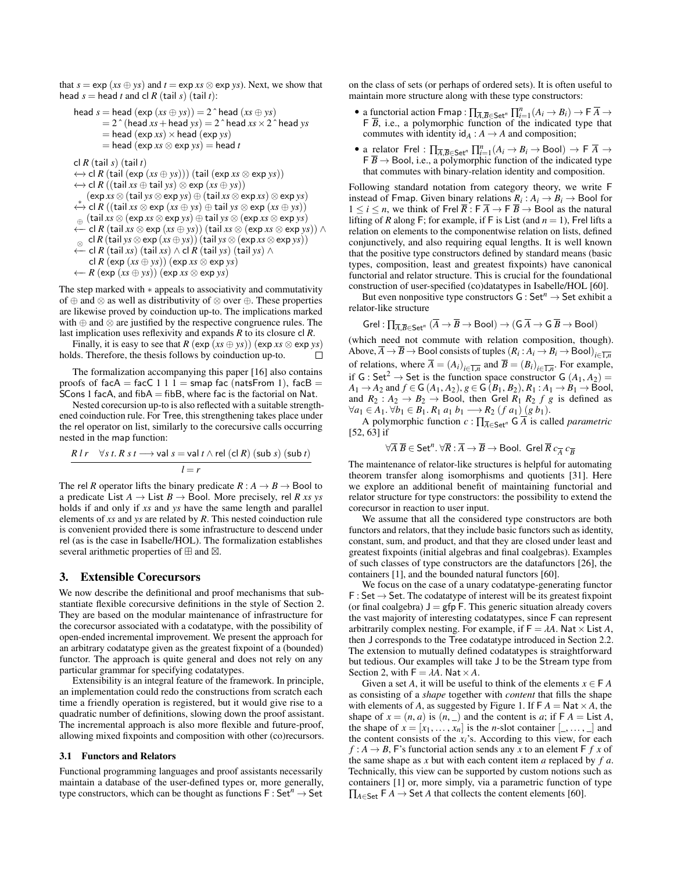that  $s = \exp(xs \oplus ys)$  and  $t = \exp xs \otimes \exp ys)$ . Next, we show that head  $s =$  head  $t$  and cl  $R$  (tail  $s$ ) (tail  $t$ ):

head 
$$
s = \text{head}(\text{exp}(xs \oplus ys)) = 2^\circ \text{head}(xs \oplus ys)
$$
  
\n $= 2^\circ (\text{head } xs + \text{head } ys) = 2^\circ \text{head } xs \times 2^\circ \text{head } ys$   
\n $= \text{head}(\text{exp } xs) \times \text{head}(\text{exp } ys)$   
\n $= \text{head}(\text{exp } xs \otimes \text{exp } ys) = \text{head } t$   
\ncl  $R (\text{tail } s) (\text{tail } t)$   
\n $\leftrightarrow \text{cl } R (\text{tail } ( \text{exp} (xs \oplus ys))) (\text{tail } (\text{exp } xs \otimes \text{exp } ys))$   
\n $\leftrightarrow \text{cl } R ((\text{tail } xs \oplus \text{tail } ys) \otimes \text{exp} (xs \oplus ys))$   
\n $(\text{exp } xs \otimes (\text{tail } ys \otimes \text{exp } ys) \oplus (\text{tail } xs \otimes \text{exp } xs) \otimes \text{exp } ys)$   
\n $\stackrel{\ast}{\leftrightarrow} \text{cl } R ((\text{tail } xs \otimes \text{exp } xs) \oplus (\text{tail } xs \otimes \text{exp } xs) \otimes \text{exp } ys)$   
\n $\stackrel{\ast}{\leftrightarrow} \text{cl } R ((\text{tail } xs \otimes \text{exp } xs \otimes \text{exp } ys) \oplus \text{tail } ys \otimes (\text{exp } xs \otimes \text{exp } ys)$   
\n $\stackrel{\text{d}}{\leftarrow} \text{cl } R (\text{tail } xs \otimes \text{exp } (xs \oplus ys)) (\text{tail } xs \otimes (\text{exp } xs \otimes \text{exp } ys))$ 

$$
\underset{\leftarrow}{\otimes} \text{ cl } R \text{ (tail } ys \otimes \text{exp}(xs \oplus ys)) \text{ (tail } ys \otimes (\text{exp} xs \otimes \text{exp} ys))
$$
  

$$
\leftarrow \text{ cl } R \text{ (tail } xs) \text{ (tail } xs) \wedge \text{ cl } R \text{ (tail } ys) \text{ (tail } ys) \wedge
$$

$$
\leftarrow
$$
 CI K (Tall XS) (Tall XS) / CI K (Tall YS) (Tall YS)

cl  $R$  (exp  $(xs \oplus ys)$ ) (exp  $xs \otimes \exp ys)$ ←− *R* (exp (*xs* ⊕ *ys*)) (exp *xs* ⊗ exp *ys*)

The step marked with ∗ appeals to associativity and commutativity

of ⊕ and ⊗ as well as distributivity of ⊗ over ⊕. These properties are likewise proved by coinduction up-to. The implications marked with ⊕ and ⊗ are justified by the respective congruence rules. The last implication uses reflexivity and expands *R* to its closure cl *R*.

Finally, it is easy to see that  $R$  (exp  $(xs \oplus ys)$ ) (exp  $xs \otimes \exp ys$ ) holds. Therefore, the thesis follows by coinduction up-to.  $\Box$ 

The formalization accompanying this paper [\[16\]](#page-11-6) also contains proofs of facA = facC 1 1 1 = smap fac (natsFrom 1), facB = SCons 1 facA, and  $fibA = fibB$ , where fac is the factorial on Nat.

Nested corecursion up-to is also reflected with a suitable strengthened coinduction rule. For Tree, this strengthening takes place under the rel operator on list, similarly to the corecursive calls occurring nested in the map function:

$$
\frac{R \, lr \quad \forall s \, t. \, R \, s \, t \longrightarrow \text{val } s = \text{val } t \land \text{rel (cl } R) \, (\text{sub } s) \, (\text{sub } t)}{l = r}
$$

The rel *R* operator lifts the binary predicate  $R : A \rightarrow B \rightarrow$  Bool to a predicate List  $A \rightarrow$  List  $B \rightarrow$  Bool. More precisely, rel *R xs ys* holds if and only if *xs* and *ys* have the same length and parallel elements of *xs* and *ys* are related by *R*. This nested coinduction rule is convenient provided there is some infrastructure to descend under rel (as is the case in Isabelle/HOL). The formalization establishes several arithmetic properties of  $\boxplus$  and  $\boxtimes$ .

# <span id="page-4-0"></span>3. Extensible Corecursors

We now describe the definitional and proof mechanisms that substantiate flexible corecursive definitions in the style of Section [2.](#page-1-0) They are based on the modular maintenance of infrastructure for the corecursor associated with a codatatype, with the possibility of open-ended incremental improvement. We present the approach for an arbitrary codatatype given as the greatest fixpoint of a (bounded) functor. The approach is quite general and does not rely on any particular grammar for specifying codatatypes.

Extensibility is an integral feature of the framework. In principle, an implementation could redo the constructions from scratch each time a friendly operation is registered, but it would give rise to a quadratic number of definitions, slowing down the proof assistant. The incremental approach is also more flexible and future-proof, allowing mixed fixpoints and composition with other (co)recursors.

#### 3.1 Functors and Relators

Functional programming languages and proof assistants necessarily maintain a database of the user-defined types or, more generally, type constructors, which can be thought as functions  $F : Set<sup>n</sup> \rightarrow Set$  on the class of sets (or perhaps of ordered sets). It is often useful to maintain more structure along with these type constructors:

- a functorial action Fmap :  $\prod_{\overline{A},\overline{B}\in \mathsf{Set}^n} \prod_{i=1}^n (A_i \rightarrow B_i) \rightarrow \overline{F} \overline{A} \rightarrow$  **F** $\overline{B}$ , i.e., a polymorphic function of the indicated type that  $\overline{B}$ , i.e., a polymorphic function of the indicated type that commutes with identity  $\mathrm{id}_A : A \to A$  and composition;
- a relator Frel :  $\prod_{\overline{A},\overline{B}\in \mathsf{Set}^n} \prod_{i=1}^n (A_i \rightarrow B_i \rightarrow \text{Bool}) \rightarrow \overline{F} \overline{A} \rightarrow \overline{F} \rightarrow \overline{B}$   $\rightarrow$  Bool, i.e., a polymorphic function of the indicated type  $\overline{F} \overline{B}$   $\rightarrow$  Bool, i.e., a polymorphic function of the indicated type that commutes with binary-relation identity and composition.

Following standard notation from category theory, we write F instead of Fmap. Given binary relations  $R_i: A_i \rightarrow B_i \rightarrow$  Bool for  $1 \leq i \leq n$ , we think of Frel  $\overline{R}$ : F  $\overline{A} \to$  F  $\overline{B} \to$  Bool as the natural lifting of *R* along F; for example, if F is List (and  $n = 1$ ), Frel lifts a relation on elements to the componentwise relation on lists, defined conjunctively, and also requiring equal lengths. It is well known that the positive type constructors defined by standard means (basic types, composition, least and greatest fixpoints) have canonical functorial and relator structure. This is crucial for the foundational construction of user-specified (co)datatypes in Isabelle/HOL [\[60\]](#page-12-11).

But even nonpositive type constructors  $G : Set<sup>n</sup> \rightarrow Set$  exhibit a relator-like structure

$$
\mathsf{Grel}:\textstyle\prod_{\overline{A}.\overline{B}\in \mathsf{Set}^n}(\overline{A}\to \overline{B}\to \mathsf{Bool})\to (\mathsf{G}.\overline{A}\to \mathsf{G}.\overline{B}\to \mathsf{Bool})
$$

 $Grel : \prod_{\overline{A}, \overline{B} \in \mathsf{Set}^n} (\overline{A} \to \overline{B} \to \text{Bool}) \to (G \overline{A} \to G \overline{B} \to \text{Bool})$ <br>(which need not commute with relation composition, though). Above,  $\overline{A} \to \overline{B} \to$  Bool consists of tuples  $(R_i : A_i \to B_i \to$  Bool) Above,  $A \to B \to B$  boot consists of typics  $(K_i : A_i \to B_i \to B_0 \cup I_i \in \overline{I_n}$ <br>of relations, where  $\overline{A} = (A_i)_{i \in \overline{I_n}}$  and  $\overline{B} = (B_i)_{i \in \overline{I_n}}$ . For example, *i* G : Set<sup>2</sup> → Set is the function space constructor G  $(A_1, A_2)$  =<br>*A*<sub>1</sub> → *A*<sub>2</sub> and *f* ∈ G  $(A_1, A_2)$   $\circ$  ∈ G  $(B_1, B_2)$   $R_1 \cdot A_1 \rightarrow R_1 \rightarrow$  Rool *A*<sub>1</sub> → *A*<sub>2</sub> and *f* ∈ G (*A*<sub>1</sub>, *A*<sub>2</sub>), *g* ∈ G (*B*<sub>1</sub>, *B*<sub>2</sub>), *R*<sub>1</sub> : *A*<sub>1</sub> → *B*<sub>1</sub> → Bool, and  $R_2 : A_2 \rightarrow B_2 \rightarrow$  Bool, then Grel  $R_1 R_2 f g$  is defined as  $∀a_1 ∈ A_1. ∀b_1 ∈ B_1. R_1 a_1 b_1 → R_2 (f a_1) (g b_1).$ 

A polymorphic function  $c : \prod_{\overline{A} \in \mathsf{Set}^n} \mathsf{G} \overline{A}$  is called *parametric* [\[52,](#page-12-20) [63\]](#page-12-21) if

$$
\forall \overline{A}\ \overline{B} \in \mathsf{Set}^n \ldotp \forall \overline{R}: \overline{A} \to \overline{B} \to \mathsf{Bool}. \ \mathsf{Grel}\ \overline{R}\ c_{\overline{A}}\ c_{\overline{B}}
$$

 $\forall \overline{A} \ \overline{B} \in \textsf{Set}^n$ .  $\forall \overline{R} : \overline{A} \to \overline{B} \to \textsf{Bool}$ . Grel  $\overline{R} \ c_{\overline{A}} \ c_{\overline{B}}$ <br>The maintenance of relator-like structures is helpful for automating theorem transfer along isomorphisms and quotients [\[31\]](#page-12-22). Here we explore an additional benefit of maintaining functorial and relator structure for type constructors: the possibility to extend the corecursor in reaction to user input.

We assume that all the considered type constructors are both functors and relators, that they include basic functors such as identity, constant, sum, and product, and that they are closed under least and greatest fixpoints (initial algebras and final coalgebras). Examples of such classes of type constructors are the datafunctors [\[26\]](#page-12-23), the containers [\[1\]](#page-11-0), and the bounded natural functors [\[60\]](#page-12-11).

We focus on the case of a unary codatatype-generating functor  $F: Set \rightarrow Set$ . The codatatype of interest will be its greatest fixpoint (or final coalgebra)  $J = gfp$  F. This generic situation already covers the vast majority of interesting codatatypes, since F can represent arbitrarily complex nesting. For example, if  $F = \lambda A$ . Nat  $\times$  List *A*, then J corresponds to the Tree codatatype introduced in Section [2.2.](#page-2-0) The extension to mutually defined codatatypes is straightforward but tedious. Our examples will take J to be the Stream type from Section [2,](#page-1-0) with  $F = \lambda A$ . Nat  $\times A$ .

Given a set *A*, it will be useful to think of the elements  $x \in F$  *A* as consisting of a *shape* together with *content* that fills the shape with elements of *A*, as suggested by Figure [1.](#page-5-0) If  $FA = Nat \times A$ , the shape of  $x = (n, a)$  is  $(n, \_)$  and the content is *a*; if  $FA = List A$ , the shape of  $x = [x_1, \ldots, x_n]$  is the *n*-slot container  $[\underline{\ } , \ldots, \underline{\ } ]$  and the content consists of the  $x_i$ 's. According to this view, for each  $f: A \rightarrow B$ , F's functorial action sends any *x* to an element F *f x* of the same shape as *x* but with each content item *a* replaced by *f a*. Technically, this view can be supported by custom notions such as containers [\[1\]](#page-11-0) or, more simply, via a parametric function of type  $\prod_{A \in \mathsf{Set}} \mathsf{F} \, A \to \mathsf{Set} \, A$  that collects the content elements [\[60\]](#page-12-11).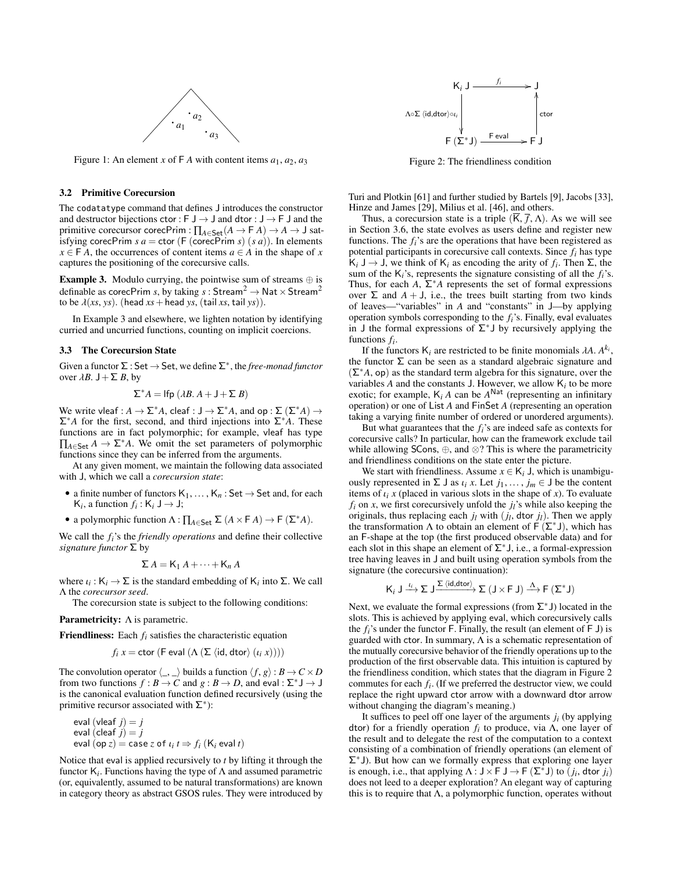<span id="page-5-0"></span>

Figure 1: An element *x* of  $\mathsf{F}$  *A* with content items  $a_1, a_2, a_3$ 

# 3.2 Primitive Corecursion

The codatatype command that defines J introduces the constructor and destructor bijections ctor : F  $J \rightarrow J$  and dtor :  $J \rightarrow F J$  and the primitive corecursor corecPrim : ∏*A*∈Set(*A* → F *A*) → *A* → J satisfying corecPrim  $s a = \text{ctor } (F \text{ (corecPrim } s) (s a))$ . In elements  $x \in$  **F** *A*, the occurrences of content items  $a \in$  *A* in the shape of *x* captures the positioning of the corecursive calls.

<span id="page-5-1"></span>**Example 3.** Modulo currying, the pointwise sum of streams  $oplus$  is definable as corecPrim *s*, by taking  $s:$  Stream<sup>2</sup>  $\rightarrow$  Nat  $\times$  Stream<sup>2</sup> to be  $\lambda(xs, ys)$ . (head  $xs$  + head *ys*, (tail *xs*, tail *ys*)).

In Example [3](#page-5-1) and elsewhere, we lighten notation by identifying curried and uncurried functions, counting on implicit coercions.

#### <span id="page-5-3"></span>3.3 The Corecursion State

Given a functor  $\Sigma :$  Set  $\rightarrow$  Set, we define  $\Sigma^*$ , the *free-monad functor* over  $\lambda B$ .  $J + \Sigma B$ , by

$$
\Sigma^* A = \text{Ifp } (\lambda B. A + J + \Sigma B)
$$

We write vleaf :  $A \to \Sigma^* A$ , cleaf :  $J \to \Sigma^* A$ , and op :  $\Sigma (\Sigma^* A) \to$ Σ∗*A* for the first, second, and third injections into Σ∗*A*. These functions are in fact polymorphic; for example, vleaf has type  $Π<sub>A∈Set</sub> A → Σ<sup>*</sup> A$ . We omit the set parameters of polymorphic functions since they can be inferred from the arguments.

At any given moment, we maintain the following data associated with J, which we call a *corecursion state*:

- a finite number of functors  $K_1, \ldots, K_n$ : Set  $\rightarrow$  Set and, for each  $K_i$ , a function  $f_i: K_i \cup \rightarrow J;$
- a polymorphic function  $\Lambda: \prod_{A \in \mathsf{Set}} \Sigma (A \times \mathsf{F} A) \to \mathsf{F} (\Sigma^* A).$

We call the *fi*'s the *friendly operations* and define their collective *signature functor* Σ by

$$
\Sigma A = \mathsf{K}_1 A + \cdots + \mathsf{K}_n A
$$

where  $\iota_i : K_i \to \Sigma$  is the standard embedding of  $K_i$  into  $\Sigma$ . We call  $\Lambda$  the *corecursor seed* Λ the *corecursor seed*.

The corecursion state is subject to the following conditions:

Parametricity: Λ is parametric.

Friendliness: Each *f<sup>i</sup>* satisfies the characteristic equation

$$
f_i x = \text{ctor } (F \text{ eval } (\Lambda (\Sigma \langle \text{id}, \text{dtor} \rangle (t_i x))))
$$

The convolution operator  $\langle \_ \rangle$  builds a function  $\langle f, g \rangle : B \to C \times D$ from two functions  $f : B \to C$  and  $g : B \to D$ , and eval :  $\Sigma^* \cup \to \cup$ is the canonical evaluation function defined recursively (using the primitive recursor associated with  $\Sigma^*$ ):

eval (vleaf 
$$
j
$$
) =  $j$   
eval (cleaf  $j$ ) =  $j$   
eval (op  $z$ ) = case  $z$  of  $i$  <sub>$i$</sub>   $t \Rightarrow f$  <sub>$i$</sub>  (K <sub>$i$</sub>  eval  $t$ )

Notice that eval is applied recursively to *t* by lifting it through the functor K*<sup>i</sup>* . Functions having the type of Λ and assumed parametric (or, equivalently, assumed to be natural transformations) are known in category theory as abstract GSOS rules. They were introduced by

<span id="page-5-2"></span>

Figure 2: The friendliness condition

Turi and Plotkin [\[61\]](#page-12-24) and further studied by Bartels [\[9\]](#page-11-12), Jacobs [\[33\]](#page-12-25), Hinze and James [\[29\]](#page-12-26), Milius et al. [\[46\]](#page-12-27), and others.

Thus, a corecursion state is a triple  $(\overline{K}, \overline{f}, \Lambda)$ . As we will see in Section [3.6,](#page-7-0) the state evolves as users define and register new functions. The *fi*'s are the operations that have been registered as potential participants in corecursive call contexts. Since *f<sup>i</sup>* has type  $K_i$  J → J, we think of  $K_i$  as encoding the arity of  $f_i$ . Then Σ, the sum of the  $K_i$ 's, represents the signature consisting of all the  $f_i$ 's. Thus, for each *A*,  $\Sigma^* A$  represents the set of formal expressions over Σ and  $A + J$ , i.e., the trees built starting from two kinds of leaves—"variables" in *A* and "constants" in J—by applying operation symbols corresponding to the *fi*'s. Finally, eval evaluates in J the formal expressions of  $\Sigma^*$ J by recursively applying the functions *f<sup>i</sup>* .

If the functors  $K_i$  are restricted to be finite monomials  $\lambda A$ .  $A^{k_i}$ , functor  $\Sigma$  can be seen as a standard algebraic signature and the functor  $\Sigma$  can be seen as a standard algebraic signature and  $(\Sigma^*A, op)$  as the standard term algebra for this signature, over the variables  $A$  and the constants  $J$ . However, we allow  $K_i$  to be more exotic; for example,  $K_i A$  can be  $A^{\text{Nat}}$  (representing an infinitary operation) or one of List *A* and FinSet *A* (representing an operation taking a varying finite number of ordered or unordered arguments).

But what guarantees that the  $f_i$ 's are indeed safe as contexts for corecursive calls? In particular, how can the framework exclude tail while allowing SCons, ⊕, and ⊗? This is where the parametricity and friendliness conditions on the state enter the picture.

We start with friendliness. Assume  $x \in K_i$  J, which is unambiguously represented in  $\Sigma$  J as  $\iota_i$  *x*. Let  $j_1, \ldots, j_m \in J$  be the content items of  $\iota_i$  *x* (placed in various slots in the shape of *x*). To evaluate  $f_i$  on *x*, we first corecursively unfold the  $j_i$ 's while also keeping the originals, thus replacing each  $j_l$  with  $(j_l, \text{dtor } j_l)$ . Then we apply the transformation A to obtain an element of  $F(\Sigma^*)$  which has the transformation  $\Lambda$  to obtain an element of  $\mathsf{F}(\Sigma^*J)$ , which has an F-shape at the top (the first produced observable data) and for each slot in this shape an element of  $\Sigma^*$ J, i.e., a formal-expression tree having leaves in J and built using operation symbols from the signature (the corecursive continuation):

$$
\mathsf{K}_i \cup \xrightarrow{\iota_i} \Sigma \cup \xrightarrow{\Sigma \langle id, \text{dtor} \rangle} \Sigma \left( \mathsf{J} \times \mathsf{F} \mathsf{J} \right) \xrightarrow{\Lambda} \mathsf{F} \left( \Sigma^* \mathsf{J} \right)
$$

Next, we evaluate the formal expressions (from  $\Sigma^*$  J) located in the slots. This is achieved by applying eval, which corecursively calls the  $f_i$ 's under the functor F. Finally, the result (an element of  $F$  J) is guarded with ctor. In summary,  $\Lambda$  is a schematic representation of the mutually corecursive behavior of the friendly operations up to the production of the first observable data. This intuition is captured by the friendliness condition, which states that the diagram in Figure [2](#page-5-2) commutes for each *f<sup>i</sup>* . (If we preferred the destructor view, we could replace the right upward ctor arrow with a downward dtor arrow without changing the diagram's meaning.)

It suffices to peel off one layer of the arguments  $j_i$  (by applying dtor) for a friendly operation *f<sup>i</sup>* to produce, via Λ, one layer of the result and to delegate the rest of the computation to a context consisting of a combination of friendly operations (an element of  $\Sigma^*$ J). But how can we formally express that exploring one layer is enough, i.e., that applying  $\Lambda : J \times F J \to F(\Sigma^* J)$  to  $(j_i, \text{dtor } j_i)$ <br>does not leed to a deeper exploration? An elegant way of capturing does not leed to a deeper exploration? An elegant way of capturing this is to require that  $\Lambda$ , a polymorphic function, operates without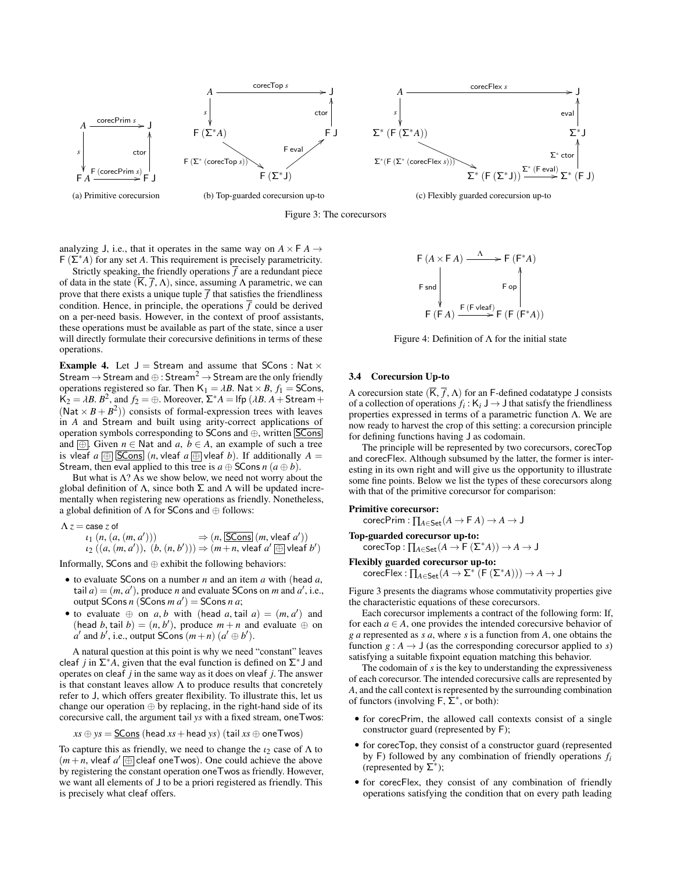<span id="page-6-0"></span>

Figure 3: The corecursors

analyzing J, i.e., that it operates in the same way on  $A \times F A \rightarrow$ F (Σ∗*A*) for any set *A*. This requirement is precisely parametricity.

Strictly speaking, the friendly operations  $\overline{f}$  are a redundant piece of data in the state  $(\overline{K}, \overline{f}, \Lambda)$ , since, assuming  $\Lambda$  parametric, we can prove that there exists a unique tuple  $\overline{f}$  that satisfies the friendliness condition. Hence, in principle, the operations  $\overline{f}$  could be derived on a per-need basis. However, in the context of proof assistants, these operations must be available as part of the state, since a user will directly formulate their corecursive definitions in terms of these operations.

<span id="page-6-1"></span>**Example 4.** Let  $J =$  Stream and assume that SCons : Nat  $\times$ Stream  $\rightarrow$  Stream and  $\oplus$  : Stream<sup>2</sup>  $\rightarrow$  Stream are the only friendly operations registered so far. Then  $K_1 = \lambda B$ . Nat  $\times B$ ,  $f_1$  = SCons,  $K_2 = \lambda B$ ,  $B^2$ , and  $f_2 = \bigoplus$ . Moreover,  $\Sigma^* A =$  lfp ( $\lambda B$ ,  $A$  + Stream + (Nat  $\vee$   $B + B^2$ )) consists of formal-expression trees with leaves  $(Nat \times B + B^2)$  consists of formal-expression trees with leaves in *A* and Stream and built using arity-correct applications of operation symbols corresponding to  $S\text{Cons}$  and  $\oplus$ , written  $|S\text{Cons}|$ and  $\Box$  Given *n*  $\in$  Nat and *a*, *b*  $\in$  *A*, an example of such a tree is vleaf  $a \oplus |\text{SCons}| (n, \text{vleaf } a \oplus \text{vleaf } b)$ . If additionally  $A =$ Stream, then eval applied to this tree is  $a \oplus$  SCons  $n (a \oplus b)$ .

But what is  $\Lambda$ ? As we show below, we need not worry about the global definition of Λ, since both  $\Sigma$  and Λ will be updated incrementally when registering new operations as friendly. Nonetheless, a global definition of  $\Lambda$  for SCons and  $\oplus$  follows:

 $\Lambda z = \mathop{\mathrm{case}}\nolimits z$  of

$$
\iota_1 (n, (a, (m, a')))
$$
  
\n
$$
\Rightarrow (n, \overline{SCons} (m, vleaf a'))
$$
  
\n
$$
\iota_2 ((a, (m, a')), (b, (n, b')))
$$
  
\n
$$
\Rightarrow (m + n, vleaf a' \text{ } \textcircled{})
$$
  
\nInformally, SCons and  $\oplus$  exhibit the following behaviors:

- to evaluate SCons on a number *<sup>n</sup>* and an item *<sup>a</sup>* with (head *<sup>a</sup>*, tail  $a$ ) =  $(m, a')$ , produce *n* and evaluate SCons on *m* and  $a'$ , i.e., output SCons *n*  $(a')$  = SCons *n a*. output SCons  $n$  (SCons  $m$   $a$ <sup>'</sup>) = SCons  $n$   $a$ ;
- to evaluate  $\oplus$  on *a*, *b* with (head *a*, tail *a*) =  $(m, a')$  and (head *b* tail *b*) =  $(n, b')$  produce  $m + n$  and evaluate  $\oplus$  on (head *b*, tail *b*) =  $(n, b')$ , produce  $m + n$  and evaluate  $\oplus$  on  $a'$  and  $b'$  i.e. output SCons  $(m+n)(a' \oplus b')$  $a'$  and  $b'$ , i.e., output SCons  $(m+n)(a' \oplus b')$ .

A natural question at this point is why we need "constant" leaves cleaf *j* in  $\Sigma^* A$ , given that the eval function is defined on  $\Sigma^* J$  and operates on cleaf *j* in the same way as it does on vleaf *j*. The answer is that constant leaves allow  $\Lambda$  to produce results that concretely refer to J, which offers greater flexibility. To illustrate this, let us change our operation ⊕ by replacing, in the right-hand side of its corecursive call, the argument tail *ys* with a fixed stream, oneTwos:

 $xs \oplus ys =$  SCons (head  $xs$  + head *ys*) (tail  $xs \oplus$  one Twos)

To capture this as friendly, we need to change the  $i_2$  case of  $\Lambda$  to  $(m + n, \text{ vleaf } a' \oplus \text{cleaf oneTwos})$ . One could achieve the above<br>by registering the constant operation one Twos as friendly However by registering the constant operation oneTwos as friendly. However, we want all elements of J to be a priori registered as friendly. This is precisely what cleaf offers.

<span id="page-6-2"></span>
$$
\begin{array}{ccc}\n\mathsf{F}(A \times \mathsf{F}A) & \xrightarrow{\Lambda} & \mathsf{F}(\mathsf{F}^*A) \\
\mathsf{F} \mathsf{snd} & & \mathsf{F} \mathsf{op} \\
\downarrow & & \mathsf{F} \mathsf{op} \\
\mathsf{F}(\mathsf{F}A) & \xrightarrow{\mathsf{F}(\mathsf{F} \mathsf{vleaf})} \mathsf{F}(\mathsf{F}(\mathsf{F}^*A))\n\end{array}
$$

Figure 4: Definition of  $\Lambda$  for the initial state

#### <span id="page-6-3"></span>3.4 Corecursion Up-to

A corecursion state  $(\overline{K}, \overline{f}, \Lambda)$  for an F-defined codatatype J consists of a collection of operations  $f_i : K_i \to J$  that satisfy the friendliness properties expressed in terms of a parametric function Λ. We are now ready to harvest the crop of this setting: a corecursion principle for defining functions having J as codomain.

The principle will be represented by two corecursors, corecTop and corecFlex. Although subsumed by the latter, the former is interesting in its own right and will give us the opportunity to illustrate some fine points. Below we list the types of these corecursors along with that of the primitive corecursor for comparison:

#### Primitive corecursor:

 $\mathsf{coreCPrim}:\prod_{A\in \mathsf{Set}}(A\to \mathsf{F}\:A)\to A\to \mathsf{J}$ 

Top-guarded corecursor up-to:

 $\mathsf{corecTop} : \prod_{A \in \mathsf{Set}} (A \to \mathsf{F}^{\bullet}(\Sigma^* A)) \to A \to \mathsf{J}$ 

Flexibly guarded corecursor up-to:

 $\mathsf{corecFlex}:\prod_{A\in \mathsf{Set}}(A\to \Sigma^*\ \mathsf{F}\ (\Sigma^*A)))\to A\to \mathsf{J}$ 

Figure [3](#page-6-0) presents the diagrams whose commutativity properties give the characteristic equations of these corecursors.

Each corecursor implements a contract of the following form: If, for each  $a \in A$ , one provides the intended corecursive behavior of *g a* represented as *s a*, where *s* is a function from *A*, one obtains the function  $g : A \to J$  (as the corresponding corecursor applied to *s*) satisfying a suitable fixpoint equation matching this behavior.

The codomain of *s* is the key to understanding the expressiveness of each corecursor. The intended corecursive calls are represented by *A*, and the call context is represented by the surrounding combination of functors (involving  $\overline{F}$ ,  $\overline{\Sigma}^*$ , or both):

- for corecPrim, the allowed call contexts consist of a single constructor guard (represented by F);
- for corecTop, they consist of a constructor guard (represented by F) followed by any combination of friendly operations *f<sup>i</sup>* (represented by Σ<sup>∗</sup> );
- for corecFlex, they consist of any combination of friendly operations satisfying the condition that on every path leading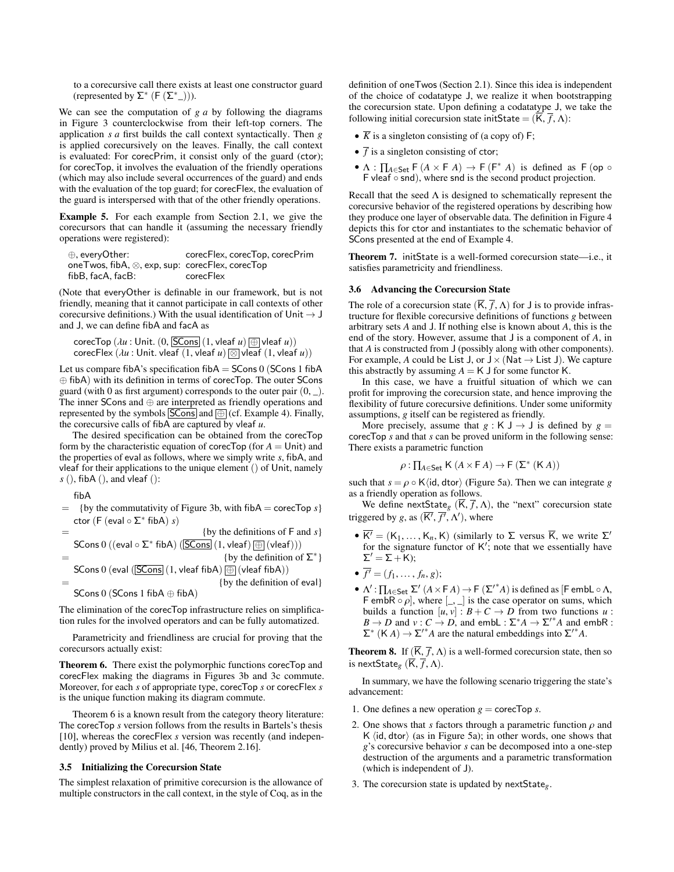to a corecursive call there exists at least one constructor guard (represented by  $\Sigma^*$  (F  $(\Sigma^*_{-}))$ ).

We can see the computation of *g a* by following the diagrams in Figure [3](#page-6-0) counterclockwise from their left-top corners. The application *s a* first builds the call context syntactically. Then *g* is applied corecursively on the leaves. Finally, the call context is evaluated: For corecPrim, it consist only of the guard (ctor); for corecTop, it involves the evaluation of the friendly operations (which may also include several occurrences of the guard) and ends with the evaluation of the top guard; for corecFlex, the evaluation of the guard is interspersed with that of the other friendly operations.

<span id="page-7-4"></span>Example 5. For each example from Section [2.1,](#page-1-1) we give the corecursors that can handle it (assuming the necessary friendly operations were registered):

| $\oplus$ , every Other:                                          | corecFlex, corecTop, corecPrim |
|------------------------------------------------------------------|--------------------------------|
| one Twos, $fibA, \otimes, exp, sup: corecFlex, corecTop$         |                                |
| fibB, facA, facB:                                                | corecFlex                      |
| (Note that every Other is definable in our framework, but is not |                                |

friendly, meaning that it cannot participate in call contexts of other corecursive definitions.) With the usual identification of Unit  $\rightarrow$  J and J, we can define fibA and facA as

$$
\text{coreTop } (\lambda u : \text{Unit. } (0, \boxed{\text{SCons}}) \text{ (1, vleaf } u) \text{ } (\overline{\text{L}} \text{ vleaf } u))
$$
\n
$$
\text{corecFlex } (\lambda u : \text{Unit. } \text{vleaf } (1, \text{vleaf } u) \text{ } (\text{N} \text{ val } (1, \text{vleaf } u))
$$

Let us compare fibA's specification fibA  $=$  SCons 0 (SCons 1 fibA ⊕ fibA) with its definition in terms of corecTop. The outer SCons guard (with 0 as first argument) corresponds to the outer pair  $(0, \_)$ . The inner SCons and ⊕ are interpreted as friendly operations and represented by the symbols  $SCons$  and  $\textcircled{=}$  (cf. Example [4\)](#page-6-1). Finally, the corecursive calls of fibA are captured by vleaf *u*.

The desired specification can be obtained from the corecTop form by the characteristic equation of corecTop (for  $A =$  Unit) and the properties of eval as follows, where we simply write *s*, fibA, and vleaf for their applications to the unique element () of Unit, namely *s* (), fibA (), and vleaf ():

fibA

= {by the commutativity of Figure 3b, with fibA = coreCTop *s*}  
ctor (F (eval 
$$
\circ \Sigma^*
$$
 fibA) *s*)

$$
= \{ \text{by the definitions of } F \text{ and } s \}
$$
  
\n
$$
= \{ \text{SCons } 0 \text{ ((eval } \circ \Sigma^* \text{ fibA)} \text{ (SCons]} (1, \text{vleaf}) \oplus (\text{vleaf})))
$$
  
\n
$$
= \{ \text{by the definition of } \Sigma^* \}
$$

SCons 0 (eval  $($  $SCons$  $(1,$  vleaf fibA $)$  $($  $)$  $($ vleaf fibA $)$ )

$$
= \{by the definition of eval\}
$$
  
SCons 0 (SCons 1 fibA  $\oplus$  fibA)

The elimination of the corecTop infrastructure relies on simplification rules for the involved operators and can be fully automatized.

Parametricity and friendliness are crucial for proving that the corecursors actually exist:

<span id="page-7-1"></span>Theorem 6. There exist the polymorphic functions corecTop and corecFlex making the diagrams in Figures [3b](#page-6-0) and [3c](#page-6-0) commute. Moreover, for each *s* of appropriate type, corecTop *s* or corecFlex *s* is the unique function making its diagram commute.

Theorem [6](#page-7-1) is a known result from the category theory literature: The corecTop *s* version follows from the results in Bartels's thesis [\[10\]](#page-11-13), whereas the corecFlex *s* version was recently (and independently) proved by Milius et al. [\[46,](#page-12-27) Theorem 2.16].

#### <span id="page-7-3"></span>3.5 Initializing the Corecursion State

The simplest relaxation of primitive corecursion is the allowance of multiple constructors in the call context, in the style of Coq, as in the

definition of oneTwos (Section [2.1\)](#page-1-1). Since this idea is independent of the choice of codatatype J, we realize it when bootstrapping the corecursion state. Upon defining a codatatype J, we take the following initial corecursion state initState =  $(\overline{K}, \overline{f}, \Lambda)$ :

- $\overline{K}$  is a singleton consisting of (a copy of) F;
- $\overline{f}$  is a singleton consisting of ctor;
- $\Lambda$  :  $\prod_{A \in \mathsf{Set}} \mathsf{F}(A \times \mathsf{F}(A)) \to \mathsf{F}(\mathsf{F}^* (A))$  is defined as  $\mathsf{F}(\mathsf{op} \circ \mathsf{F}(A))$ F vleaf ◦ snd), where snd is the second product projection.

Recall that the seed  $\Lambda$  is designed to schematically represent the corecursive behavior of the registered operations by describing how they produce one layer of observable data. The definition in Figure [4](#page-6-2) depicts this for ctor and instantiates to the schematic behavior of SCons presented at the end of Example [4.](#page-6-1)

Theorem 7. initState is a well-formed corecursion state—i.e., it satisfies parametricity and friendliness.

#### <span id="page-7-0"></span>3.6 Advancing the Corecursion State

The role of a corecursion state  $(\overline{K}, \overline{f}, \Lambda)$  for J is to provide infrastructure for flexible corecursive definitions of functions *g* between arbitrary sets *A* and J. If nothing else is known about *A*, this is the end of the story. However, assume that J is a component of *A*, in that *A* is constructed from J (possibly along with other components). For example, *A* could be List J, or  $J \times (Nat \rightarrow List J)$ . We capture this abstractly by assuming  $A = K J$  for some functor K.

In this case, we have a fruitful situation of which we can profit for improving the corecursion state, and hence improving the flexibility of future corecursive definitions. Under some uniformity assumptions, *g* itself can be registered as friendly.

More precisely, assume that  $g : K \cup \rightarrow \cup$  is defined by  $g =$ corecTop *s* and that *s* can be proved uniform in the following sense: There exists a parametric function

$$
\rho: \prod_{A \in \mathsf{Set}} \mathsf{K}\,(A \times \mathsf{F}\,A) \to \mathsf{F}\,(\Sigma^*\,(\mathsf{K}\,A))
$$

such that  $s = \rho \circ \mathsf{K}\langle \mathsf{id}, \mathsf{dtor} \rangle$  (Figure [5a\)](#page-8-0). Then we can integrate *g* as a friendly operation as follows as a friendly operation as follows.

We define nextState<sub>g</sub> ( $\overline{K}$ ,  $\overline{f}$ ,  $\Lambda$ ), the "next" corecursion state triggered by *g*, as  $(\overline{K'}, \overline{f'}, \Lambda')$ , where

- $\overline{K'} = (K_1, \ldots, K_n, K)$  (similarly to  $\Sigma$  versus  $\overline{K}$ , we write  $\Sigma'$ for the signature functor of  $K'$ ; note that we essentially have  $\Sigma' = \Sigma + K$ ;
- $\overline{f'} = (f_1, ..., f_n, g);$ <br> $\overline{f} = (f_1, ..., f_n, g);$
- $Λ'$  :  $\prod_{A \in \mathsf{Set}} \Sigma' (A \times \mathsf{F} A) \rightarrow \mathsf{F} (\Sigma'^*$ *A*) is defined as [F embL  $\circ \Lambda$ , se operator on sums, which F embR ◦  $\rho$ , where  $\begin{bmatrix} 0 & 0 \\ 0 & v \end{bmatrix}$  is the case operator on sums, which builds a function  $\begin{bmatrix} u & v \end{bmatrix}$   $\cdot$   $B + C \rightarrow D$  from two functions  $u$ builds a function  $[u, v] : B + C \to D$  from two functions *u* :<br> $B \to D$  and  $v : C \to D$  and embl $v : \Sigma^* A \to \Sigma'^* A$  and embR  $B \to D$  and  $v : C \to D$ , and embL :  $\Sigma^* A \to \Sigma'^* A$  and embR :  $\Sigma^*$  (K *A*)  $\rightarrow \Sigma'^* A$  are the natural embeddings into  $\Sigma'^* A$ .

<span id="page-7-2"></span>**Theorem 8.** If  $(\overline{K}, \overline{f}, \Lambda)$  is a well-formed corecursion state, then so is nextState<sub>g</sub>  $(\overline{K}, \overline{f}, \Lambda)$ .

In summary, we have the following scenario triggering the state's advancement:

- 1. One defines a new operation  $g = \text{coreTop } s$ .
- 2. One shows that *s* factors through a parametric function  $\rho$  and K  $\langle$ id, dtor $\rangle$  (as in Figure [5a\)](#page-8-0); in other words, one shows that *g*'s corecursive behavior *s* can be decomposed into a one-step destruction of the arguments and a parametric transformation (which is independent of J).
- <span id="page-7-5"></span>3. The corecursion state is updated by nextState*g*.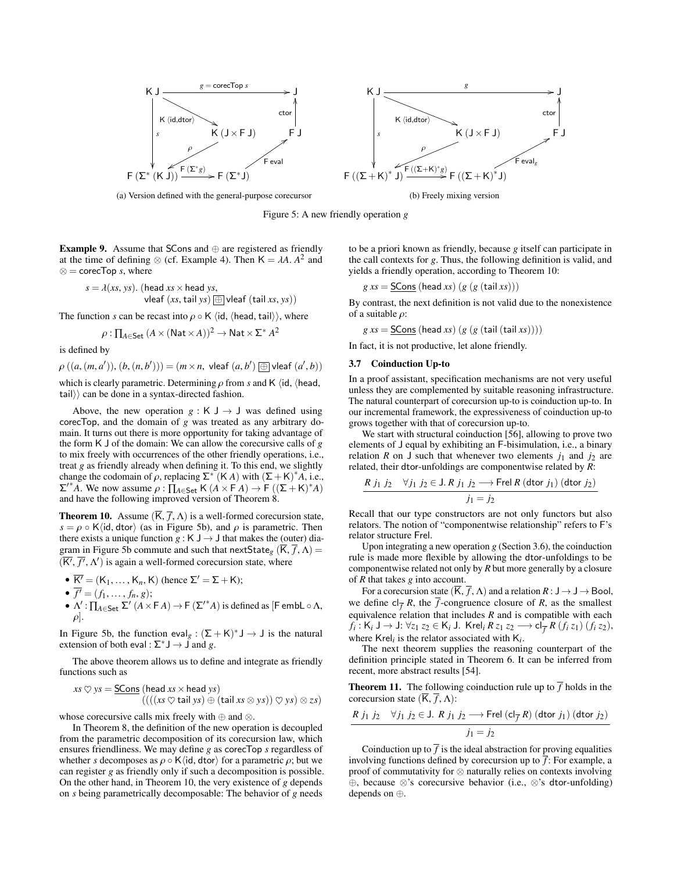<span id="page-8-0"></span>



(a) Version defined with the general-purpose corecursor

Figure 5: A new friendly operation *g*

**Example 9.** Assume that SCons and  $oplus$  are registered as friendly at the time of defining ⊗ (cf. Example [4\)](#page-6-1). Then  $K = \lambda A$ .  $A^2$  and  $\otimes$  = corecTon s, where ⊗ = corecTop *s*, where

$$
s = \lambda(xs, ys). \text{ (head } xs \times head ys, \\ \text{vleaf } (xs, tail ys) \text{ } \textcircled{t} \text{ vleaf } (\text{tail } xs, ys))
$$

The function *s* can be recast into  $\rho \circ \mathsf{K} \langle \mathsf{id}, \langle \mathsf{head}, \mathsf{tail} \rangle \rangle$ , where

$$
\rho: \prod_{A \in \mathsf{Set}} (A \times (\mathsf{Nat} \times A))^2 \to \mathsf{Nat} \times \Sigma^* A^2
$$

is defined by

 $\rho ((a, (m, a')), (b, (n, b')) = (m \times n, \text{ vleaf } (a, b') \text{ } \textcircled{1} \text{ vleaf } (a', b))$ 

which is clearly parametric. Determining  $\rho$  from *s* and K (id, (head, tail $\rangle$  can be done in a syntax-directed fashion.

Above, the new operation  $g : K \cup \rightarrow \cup$  was defined using corecTop, and the domain of *g* was treated as any arbitrary domain. It turns out there is more opportunity for taking advantage of the form K J of the domain: We can allow the corecursive calls of *g* to mix freely with occurrences of the other friendly operations, i.e., treat *g* as friendly already when defining it. To this end, we slightly change the codomain of  $\rho$ , replacing  $\Sigma^* (K A)$  with  $(\Sigma + K)^* A$ , i.e.,<br> $\Sigma'^* A$ , We now assume  $\rho : \Pi_{\lambda} \subset K (A \times F A) \rightarrow F ((\Sigma + K)^* A)$  $\Sigma^{I^*}$ A. We now assume  $\rho : \prod_{A \in \mathsf{Set}} K(A \times \overline{F}A) \to \overline{F} ((\Sigma + K)^*A)$ <br>and have the following improved version of Theorem 8 and have the following improved version of Theorem [8.](#page-7-2)

<span id="page-8-1"></span>**Theorem 10.** Assume  $(\overline{K}, \overline{f}, \Lambda)$  is a well-formed corecursion state,  $s = \rho \circ K \langle id, \text{dtor} \rangle$  (as in Figure [5b\)](#page-8-0), and  $\rho$  is parametric. Then there exists a unique function *g* : K J  $\rightarrow$  J that makes the (outer) dia-gram in Figure [5b](#page-8-0) commute and such that nextState<sub>g</sub> (K,  $\overline{f}$ ,  $\Lambda$ ) =  $(\overline{K'}, \overline{f'}, \Lambda')$  is again a well-formed corecursion state, where

• 
$$
\overline{K'} = (K_1, ..., K_n, K)
$$
 (hence  $\Sigma' = \Sigma + K$ );

$$
\bullet \ \overline{f'} = (f_1, \ldots, f_n, g);
$$

 $\bullet$   $\overline{f'}$  = (*f*<sub>1</sub>, ..., *f*<sub>*n*</sub>, *g*);<br>  $\bullet$  Λ': ∏<sub>*A*∈Set</sub> Σ' (*A* × F *A*) → F (Σ'<sup>\*</sup>*A*) is defined as [F embL ∘ Λ,  $\rho$ ].

In Figure [5b,](#page-8-0) the function eval<sub>g</sub> :  $(\Sigma + K)^* J \rightarrow J$  is the natural extension of both eval :  $\Sigma^* J \to J$  and *g*.

The above theorem allows us to define and integrate as friendly functions such as

$$
xs \heartsuit ys = \underline{SCons} \text{ (head } xs \times head ys) (((xs \heartsuit tail ys) \oplus (tail xs \otimes ys)) \heartsuit ys) \otimes zs)
$$

whose corecursive calls mix freely with  $\oplus$  and  $\otimes$ .

In Theorem [8,](#page-7-2) the definition of the new operation is decoupled from the parametric decomposition of its corecursion law, which ensures friendliness. We may define *g* as corecTop *s* regardless of whether *s* decomposes as  $\rho \circ K\langle id, d \text{tor} \rangle$  for a parametric  $\rho$ ; but we can register *g* as friendly only if such a decomposition is possible. On the other hand, in Theorem [10,](#page-8-1) the very existence of *g* depends on *s* being parametrically decomposable: The behavior of *g* needs to be a priori known as friendly, because *g* itself can participate in the call contexts for *g*. Thus, the following definition is valid, and yields a friendly operation, according to Theorem [10:](#page-8-1)

$$
g xs =
$$
 SCons (head *xs*)  $(g (g (tail xs)))$ 

By contrast, the next definition is not valid due to the nonexistence of a suitable  $\rho$ :

$$
g xs = \underline{\text{SCons}} \left( \text{head} xs \right) \left( g \left( g \left( \text{tail } (\text{tail } xs) \right) \right) \right)
$$

In fact, it is not productive, let alone friendly.

#### <span id="page-8-2"></span>3.7 Coinduction Up-to

In a proof assistant, specification mechanisms are not very useful unless they are complemented by suitable reasoning infrastructure. The natural counterpart of corecursion up-to is coinduction up-to. In our incremental framework, the expressiveness of coinduction up-to grows together with that of corecursion up-to.

We start with structural coinduction [\[56\]](#page-12-28), allowing to prove two elements of J equal by exhibiting an F-bisimulation, i.e., a binary relation *R* on J such that whenever two elements  $j_1$  and  $j_2$  are related, their dtor-unfoldings are componentwise related by *R*:

$$
\frac{R j_1 j_2 \quad \forall j_1 j_2 \in J. \ R \ j_1 j_2 \longrightarrow \text{Frel } R \ (\text{dtor } j_1) \ (\text{dtor } j_2)}{j_1 = j_2}
$$

Recall that our type constructors are not only functors but also relators. The notion of "componentwise relationship" refers to F's relator structure Frel.

Upon integrating a new operation *g* (Section [3.6\)](#page-7-0), the coinduction rule is made more flexible by allowing the dtor-unfoldings to be componentwise related not only by *R* but more generally by a closure of *R* that takes *g* into account.

For a corecursion state  $(\overline{K}, \overline{f}, \Lambda)$  and a relation  $R : J \to J \to \text{Bool}$ , we define  $cl_{\overline{f}} R$ , the  $\overline{f}$ -congruence closure of  $R$ , as the smallest equivalence relation that includes *R* and is compatible with each  $f_i: K_i \cup J \to J: \forall z_1 z_2 \in K_i \cup K$  *Keel*<sub>*i*</sub>  $R z_1 z_2 \longrightarrow c l_{\overline{f}} R (f_i z_1) (f_i z_2)$ , where  $Krel_i$  is the relator associated with  $K_i$ .

The next theorem supplies the reasoning counterpart of the definition principle stated in Theorem [6.](#page-7-1) It can be inferred from recent, more abstract results [\[54\]](#page-12-29).

**Theorem 11.** The following coinduction rule up to  $\overline{f}$  holds in the corecursion state  $(\overline{K}, \overline{f}, \Lambda)$ :

$$
\frac{R j_1 j_2 \quad \forall j_1 j_2 \in J. \ R j_1 j_2 \longrightarrow \text{Frel } (\text{cl}_{\overline{f}} R) \ (\text{dtor } j_1) \ (\text{dtor } j_2)}{j_1 = j_2}
$$

Coinduction up to  $\overline{f}$  is the ideal abstraction for proving equalities involving functions defined by corecursion up to  $\overline{f}$ : For example, a proof of commutativity for ⊗ naturally relies on contexts involving ⊕, because ⊗'s corecursive behavior (i.e., ⊗'s dtor-unfolding) depends on ⊕.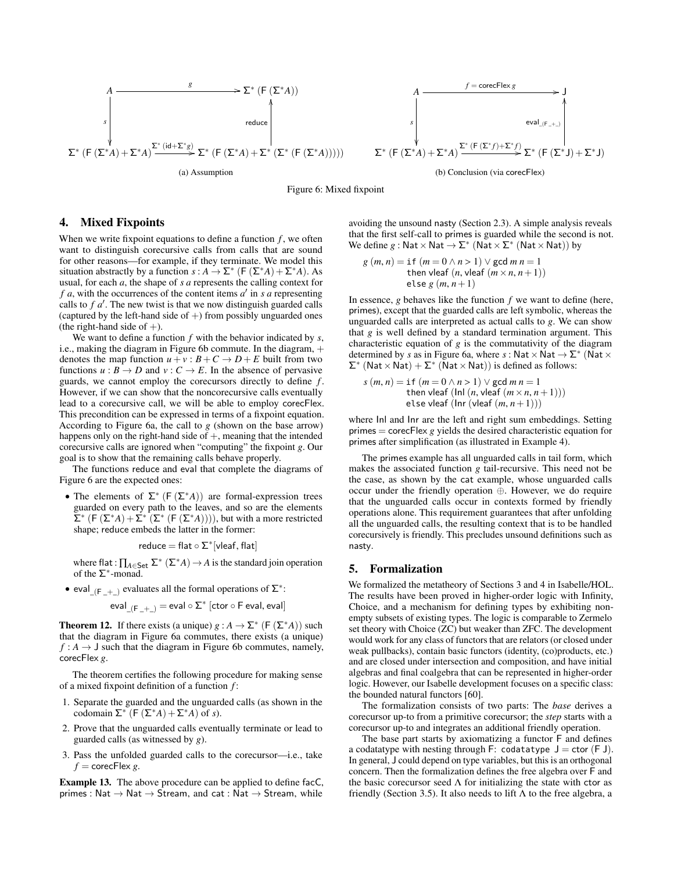<span id="page-9-2"></span>





# <span id="page-9-0"></span>4. Mixed Fixpoints

When we write fixpoint equations to define a function  $f$ , we often want to distinguish corecursive calls from calls that are sound for other reasons—for example, if they terminate. We model this situation abstractly by a function *s* :  $A \to \Sigma^*$  (F ( $\Sigma^*A$ ) +  $\Sigma^*A$ ). As usual, for each *a*, the shape of *s a* represents the calling context for f a, with the occurrences of the content items  $a'$  in  $s$  a representing calls to  $f \, a'$ . The new twist is that we now distinguish guarded calls (captured by the left-hand side of  $+)$  from possibly unguarded ones (the right-hand side of  $+)$ .

We want to define a function *f* with the behavior indicated by *s*, i.e., making the diagram in Figure [6b](#page-9-2) commute. In the diagram, + denotes the map function  $u + v : B + C \rightarrow D + E$  built from two functions  $u : B \to D$  and  $v : C \to E$ . In the absence of pervasive guards, we cannot employ the corecursors directly to define *f* . However, if we can show that the noncorecursive calls eventually lead to a corecursive call, we will be able to employ corecFlex. This precondition can be expressed in terms of a fixpoint equation. According to Figure [6a,](#page-9-2) the call to *g* (shown on the base arrow) happens only on the right-hand side of  $+$ , meaning that the intended corecursive calls are ignored when "computing" the fixpoint *g*. Our goal is to show that the remaining calls behave properly.

The functions reduce and eval that complete the diagrams of Figure [6](#page-9-2) are the expected ones:

• The elements of  $\Sigma^*$  (F ( $\Sigma^*$ A)) are formal-expression trees guarded on every path to the leaves, and so are the elements  $\sum^*$  (F ( $\sum^* A$ ) +  $\sum^* (\sum^* (F(\sum^* A))))$ , but with a more restricted shape; reduce embeds the latter in the former:

$$
\text{reduce} = \text{flat} \circ \Sigma^*[\text{vleaf},\text{flat}]
$$

where flat:  $\prod_{A \in \mathsf{Set}} \Sigma^* (\Sigma^* A) \to A$  is the standard join operation of the  $\Sigma^*$ -monad.

• eval<sub>(F<sub>-+)</sub> evaluates all the formal operations of  $\Sigma^*$ :</sub>

 $\mathsf{eval}_{\mathsf{L}(\mathsf{F}\_\mathsf{L}+\_\mathsf{L})} = \mathsf{eval} \circ \mathsf{\Sigma}^* \ [\mathsf{ctor} \circ \mathsf{F}\ \mathsf{eval}, \mathsf{eval}]$ 

**Theorem 12.** If there exists (a unique)  $g : A \to \Sigma^*$  (F  $(\Sigma^* A)$ ) such that the diagram in Figure [6a](#page-9-2) commutes, there exists (a unique)  $f : A \rightarrow J$  such that the diagram in Figure [6b](#page-9-2) commutes, namely, corecFlex *g*.

The theorem certifies the following procedure for making sense of a mixed fixpoint definition of a function *f* :

- 1. Separate the guarded and the unguarded calls (as shown in the codomain  $\Sigma^*$  (F ( $\Sigma^*A$ ) +  $\Sigma^*A$ ) of *s*).
- 2. Prove that the unguarded calls eventually terminate or lead to guarded calls (as witnessed by *g*).
- 3. Pass the unfolded guarded calls to the corecursor—i.e., take  $f =$  corecFlex *g*.

Example 13. The above procedure can be applied to define facC, primes : Nat  $\rightarrow$  Nat  $\rightarrow$  Stream, and cat : Nat  $\rightarrow$  Stream, while

avoiding the unsound nasty (Section [2.3\)](#page-2-1). A simple analysis reveals that the first self-call to primes is guarded while the second is not. We define  $g:$  Nat  $\times$  Nat  $\rightarrow$   $\Sigma^*$  (Nat  $\times$   $\Sigma^*$  (Nat  $\times$  Nat)) by

$$
g(m, n) = \text{if } (m = 0 \land n > 1) \lor \text{gcd } m \, n = 1
$$
  
then vleaf  $(n, \text{vleaf } (m \times n, n+1))$   
else  $g(m, n+1)$ 

 $e$ lse *g* (*m*, *n* + 1)<br>In essence, *g* behaves like the function *f* we want to define (here, primes), except that the guarded calls are left symbolic, whereas the unguarded calls are interpreted as actual calls to *g*. We can show that *g* is well defined by a standard termination argument. This characteristic equation of *g* is the commutativity of the diagram determined by *s* as in Figure [6a,](#page-9-2) where *s* : Nat  $\times$  Nat  $\rightarrow$   $\Sigma^*$  (Nat  $\times$  $\Sigma^*$  (Nat × Nat) +  $\Sigma^*$  (Nat × Nat)) is defined as follows:

$$
s(m, n) = \text{if } (m = 0 \land n > 1) \lor \text{gcd } m \, n = 1
$$
  
then vleaf (lnl (n, vleaf (m × n, n + 1)))  
else vleaf (lnr (vleaf (m, n + 1)))

else vleaf  $(\ln r \left( \text{vleaf}(m, n+1) \right))$ <br>where  $\ln \ln n$  are the left and right sum embeddings. Setting primes = corecFlex *g* yields the desired characteristic equation for primes after simplification (as illustrated in Example [4\)](#page-6-1).

The primes example has all unguarded calls in tail form, which makes the associated function *g* tail-recursive. This need not be the case, as shown by the cat example, whose unguarded calls occur under the friendly operation ⊕. However, we do require that the unguarded calls occur in contexts formed by friendly operations alone. This requirement guarantees that after unfolding all the unguarded calls, the resulting context that is to be handled corecursively is friendly. This precludes unsound definitions such as nasty.

# <span id="page-9-1"></span>5. Formalization

We formalized the metatheory of Sections [3](#page-4-0) and [4](#page-9-0) in Isabelle/HOL. The results have been proved in higher-order logic with Infinity, Choice, and a mechanism for defining types by exhibiting nonempty subsets of existing types. The logic is comparable to Zermelo set theory with Choice (ZC) but weaker than ZFC. The development would work for any class of functors that are relators (or closed under weak pullbacks), contain basic functors (identity, (co)products, etc.) and are closed under intersection and composition, and have initial algebras and final coalgebra that can be represented in higher-order logic. However, our Isabelle development focuses on a specific class: the bounded natural functors [\[60\]](#page-12-11).

The formalization consists of two parts: The *base* derives a corecursor up-to from a primitive corecursor; the *step* starts with a corecursor up-to and integrates an additional friendly operation.

The base part starts by axiomatizing a functor F and defines a codatatype with nesting through F: codatatype  $J = \text{ctor}(F J)$ . In general, J could depend on type variables, but this is an orthogonal concern. Then the formalization defines the free algebra over F and the basic corecursor seed  $\Lambda$  for initializing the state with ctor as friendly (Section [3.5\)](#page-7-3). It also needs to lift  $\Lambda$  to the free algebra, a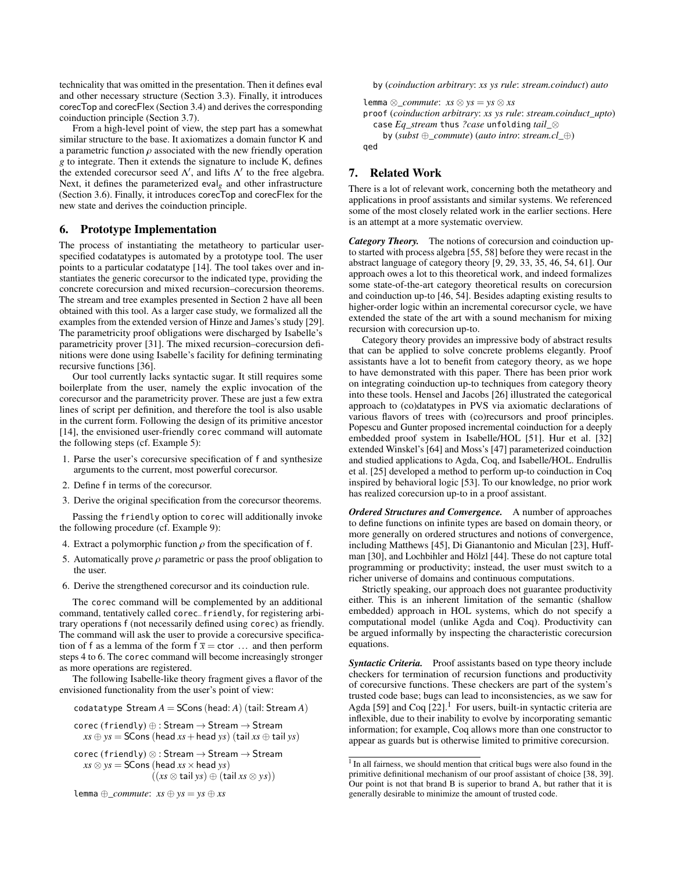technicality that was omitted in the presentation. Then it defines eval and other necessary structure (Section [3.3\)](#page-5-3). Finally, it introduces corecTop and corecFlex (Section [3.4\)](#page-6-3) and derives the corresponding coinduction principle (Section [3.7\)](#page-8-2).

From a high-level point of view, the step part has a somewhat similar structure to the base. It axiomatizes a domain functor K and a parametric function  $\rho$  associated with the new friendly operation *g* to integrate. Then it extends the signature to include K, defines the extended corecursor seed  $\Lambda'$ , and lifts  $\Lambda'$  to the free algebra. Next, it defines the parameterized eval<sub>g</sub> and other infrastructure (Section [3.6\)](#page-7-0). Finally, it introduces corecTop and corecFlex for the new state and derives the coinduction principle.

# <span id="page-10-1"></span>6. Prototype Implementation

The process of instantiating the metatheory to particular userspecified codatatypes is automated by a prototype tool. The user points to a particular codatatype [\[14\]](#page-11-7). The tool takes over and instantiates the generic corecursor to the indicated type, providing the concrete corecursion and mixed recursion–corecursion theorems. The stream and tree examples presented in Section [2](#page-1-0) have all been obtained with this tool. As a larger case study, we formalized all the examples from the extended version of Hinze and James's study [\[29\]](#page-12-26). The parametricity proof obligations were discharged by Isabelle's parametricity prover [\[31\]](#page-12-22). The mixed recursion–corecursion definitions were done using Isabelle's facility for defining terminating recursive functions [\[36\]](#page-12-19).

Our tool currently lacks syntactic sugar. It still requires some boilerplate from the user, namely the explic invocation of the corecursor and the parametricity prover. These are just a few extra lines of script per definition, and therefore the tool is also usable in the current form. Following the design of its primitive ancestor [\[14\]](#page-11-7), the envisioned user-friendly corec command will automate the following steps (cf. Example [5\)](#page-7-4):

- 1. Parse the user's corecursive specification of f and synthesize arguments to the current, most powerful corecursor.
- 2. Define f in terms of the corecursor.
- 3. Derive the original specification from the corecursor theorems.

Passing the friendly option to corec will additionally invoke the following procedure (cf. Example [9\)](#page-7-5):

- 4. Extract a polymorphic function  $\rho$  from the specification of f.
- 5. Automatically prove  $\rho$  parametric or pass the proof obligation to the user.
- 6. Derive the strengthened corecursor and its coinduction rule.

The corec command will be complemented by an additional command, tentatively called corec\_friendly, for registering arbitrary operations f (not necessarily defined using corec) as friendly. The command will ask the user to provide a corecursive specification of f as a lemma of the form  $f \overline{x} = \text{ctor} \dots$  and then perform steps 4 to 6. The corec command will become increasingly stronger as more operations are registered.

The following Isabelle-like theory fragment gives a flavor of the envisioned functionality from the user's point of view:

codatatype Stream  $A =$  SCons (head:  $A$ ) (tail: Stream  $A$ )

$$
corec (friendly) \oplus : Stream \rightarrow Stream \rightarrow Stream
$$

$$
xs \oplus ys = SCons (head xs + head ys) (tail xs \oplus tail ys)
$$

 $corec (friendly) \otimes : Stream \rightarrow Stream \rightarrow Stream$  $xs \otimes ys =$  SCons (head  $xs \times$  head *ys*) ((*xs* ⊗ tail *ys*) ⊕ (tail *xs* ⊗ *ys*))

```
lemma ⊕_commute: xs ⊕ ys = ys ⊕ xs
```
by (*coinduction arbitrary*: *xs ys rule*: *stream.coinduct*) *auto*

lemma ⊗*\_commute*: *xs* ⊗ *ys* = *ys* ⊗ *xs* proof (*coinduction arbitrary*: *xs ys rule*: *stream.coinduct\_upto*) case *Eq\_stream* thus *?case* unfolding *tail\_*⊗ by (*subst* ⊕*\_commute*) (*auto intro*: *stream.cl\_*⊕) qed

# <span id="page-10-0"></span>7. Related Work

There is a lot of relevant work, concerning both the metatheory and applications in proof assistants and similar systems. We referenced some of the most closely related work in the earlier sections. Here is an attempt at a more systematic overview.

*Category Theory.* The notions of corecursion and coinduction upto started with process algebra [\[55,](#page-12-30) [58\]](#page-12-13) before they were recast in the abstract language of category theory [\[9,](#page-11-12) [29,](#page-12-26) [33,](#page-12-25) [35,](#page-12-31) [46,](#page-12-27) [54,](#page-12-29) [61\]](#page-12-24). Our approach owes a lot to this theoretical work, and indeed formalizes some state-of-the-art category theoretical results on corecursion and coinduction up-to [\[46,](#page-12-27) [54\]](#page-12-29). Besides adapting existing results to higher-order logic within an incremental corecursor cycle, we have extended the state of the art with a sound mechanism for mixing recursion with corecursion up-to.

Category theory provides an impressive body of abstract results that can be applied to solve concrete problems elegantly. Proof assistants have a lot to benefit from category theory, as we hope to have demonstrated with this paper. There has been prior work on integrating coinduction up-to techniques from category theory into these tools. Hensel and Jacobs [\[26\]](#page-12-23) illustrated the categorical approach to (co)datatypes in PVS via axiomatic declarations of various flavors of trees with (co)recursors and proof principles. Popescu and Gunter proposed incremental coinduction for a deeply embedded proof system in Isabelle/HOL [\[51\]](#page-12-32). Hur et al. [\[32\]](#page-12-33) extended Winskel's [\[64\]](#page-12-34) and Moss's [\[47\]](#page-12-35) parameterized coinduction and studied applications to Agda, Coq, and Isabelle/HOL. Endrullis et al. [\[25\]](#page-12-36) developed a method to perform up-to coinduction in Coq inspired by behavioral logic [\[53\]](#page-12-37). To our knowledge, no prior work has realized corecursion up-to in a proof assistant.

*Ordered Structures and Convergence.* A number of approaches to define functions on infinite types are based on domain theory, or more generally on ordered structures and notions of convergence, including Matthews [\[45\]](#page-12-38), Di Gianantonio and Miculan [\[23\]](#page-12-18), Huffman [\[30\]](#page-12-39), and Lochbihler and Hölzl [\[44\]](#page-12-12). These do not capture total programming or productivity; instead, the user must switch to a richer universe of domains and continuous computations.

Strictly speaking, our approach does not guarantee productivity either. This is an inherent limitation of the semantic (shallow embedded) approach in HOL systems, which do not specify a computational model (unlike Agda and Coq). Productivity can be argued informally by inspecting the characteristic corecursion equations.

*Syntactic Criteria.* Proof assistants based on type theory include checkers for termination of recursion functions and productivity of corecursive functions. These checkers are part of the system's trusted code base; bugs can lead to inconsistencies, as we saw for Agda [\[59\]](#page-12-40) and Coq  $[22]$ .<sup>[1](#page-10-2)</sup> For users, built-in syntactic criteria are inflexible, due to their inability to evolve by incorporating semantic information; for example, Coq allows more than one constructor to appear as guards but is otherwise limited to primitive corecursion.

<span id="page-10-2"></span><sup>&</sup>lt;sup>1</sup> In all fairness, we should mention that critical bugs were also found in the primitive definitional mechanism of our proof assistant of choice [\[38,](#page-12-42) [39\]](#page-12-43). Our point is not that brand B is superior to brand A, but rather that it is generally desirable to minimize the amount of trusted code.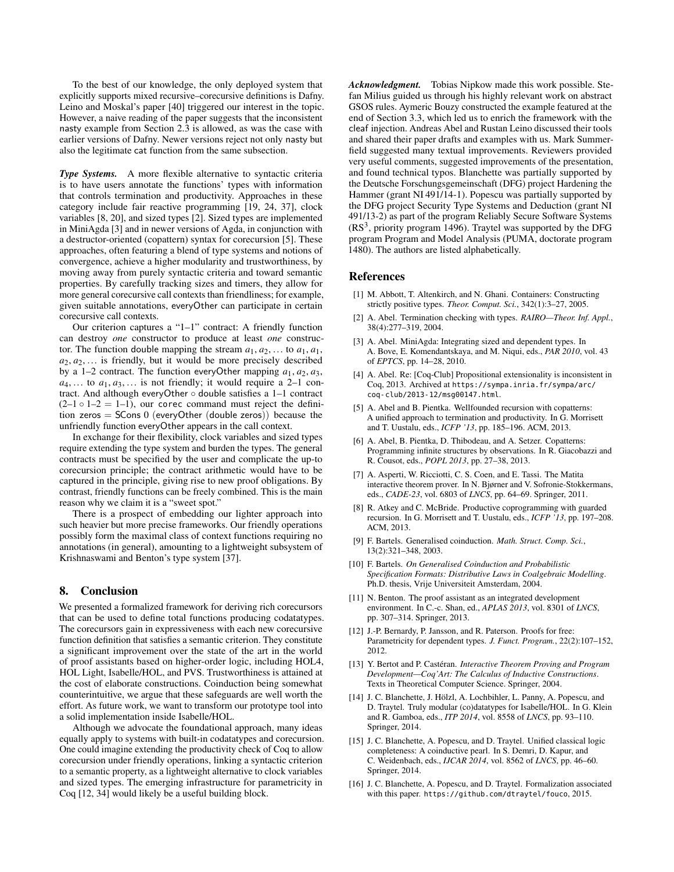To the best of our knowledge, the only deployed system that explicitly supports mixed recursive–corecursive definitions is Dafny. Leino and Moskal's paper [\[40\]](#page-12-10) triggered our interest in the topic. However, a naive reading of the paper suggests that the inconsistent nasty example from Section [2.3](#page-2-1) is allowed, as was the case with earlier versions of Dafny. Newer versions reject not only nasty but also the legitimate cat function from the same subsection.

**Type Systems.** A more flexible alternative to syntactic criteria is to have users annotate the functions' types with information that controls termination and productivity. Approaches in these category include fair reactive programming [\[19,](#page-12-44) [24,](#page-12-45) [37\]](#page-12-46), clock variables [\[8,](#page-11-1) [20\]](#page-12-15), and sized types [\[2\]](#page-11-9). Sized types are implemented in MiniAgda [\[3\]](#page-11-14) and in newer versions of Agda, in conjunction with a destructor-oriented (copattern) syntax for corecursion [\[5\]](#page-11-10). These approaches, often featuring a blend of type systems and notions of convergence, achieve a higher modularity and trustworthiness, by moving away from purely syntactic criteria and toward semantic properties. By carefully tracking sizes and timers, they allow for more general corecursive call contexts than friendliness; for example, given suitable annotations, everyOther can participate in certain corecursive call contexts.

Our criterion captures a "1–1" contract: A friendly function can destroy *one* constructor to produce at least *one* constructor. The function double mapping the stream  $a_1, a_2, \ldots$  to  $a_1, a_1$ ,  $a_2, a_2, \ldots$  is friendly, but it would be more precisely described by a 1–2 contract. The function everyOther mapping  $a_1, a_2, a_3$ ,  $a_4, \ldots$  to  $a_1, a_3, \ldots$  is not friendly; it would require a 2–1 contract. And although everyOther ◦ double satisfies a 1–1 contract  $(2-1 \circ 1-2 = 1-1)$ , our corec command must reject the definition zeros =  $S\text{Cons } 0$  (everyOther (double zeros)) because the unfriendly function everyOther appears in the call context.

In exchange for their flexibility, clock variables and sized types require extending the type system and burden the types. The general contracts must be specified by the user and complicate the up-to corecursion principle; the contract arithmetic would have to be captured in the principle, giving rise to new proof obligations. By contrast, friendly functions can be freely combined. This is the main reason why we claim it is a "sweet spot."

There is a prospect of embedding our lighter approach into such heavier but more precise frameworks. Our friendly operations possibly form the maximal class of context functions requiring no annotations (in general), amounting to a lightweight subsystem of Krishnaswami and Benton's type system [\[37\]](#page-12-46).

# 8. Conclusion

We presented a formalized framework for deriving rich corecursors that can be used to define total functions producing codatatypes. The corecursors gain in expressiveness with each new corecursive function definition that satisfies a semantic criterion. They constitute a significant improvement over the state of the art in the world of proof assistants based on higher-order logic, including HOL4, HOL Light, Isabelle/HOL, and PVS. Trustworthiness is attained at the cost of elaborate constructions. Coinduction being somewhat counterintuitive, we argue that these safeguards are well worth the effort. As future work, we want to transform our prototype tool into a solid implementation inside Isabelle/HOL.

Although we advocate the foundational approach, many ideas equally apply to systems with built-in codatatypes and corecursion. One could imagine extending the productivity check of Coq to allow corecursion under friendly operations, linking a syntactic criterion to a semantic property, as a lightweight alternative to clock variables and sized types. The emerging infrastructure for parametricity in Coq [\[12,](#page-11-15) [34\]](#page-12-47) would likely be a useful building block.

*Acknowledgment.* Tobias Nipkow made this work possible. Stefan Milius guided us through his highly relevant work on abstract GSOS rules. Aymeric Bouzy constructed the example featured at the end of Section [3.3,](#page-5-3) which led us to enrich the framework with the cleaf injection. Andreas Abel and Rustan Leino discussed their tools and shared their paper drafts and examples with us. Mark Summerfield suggested many textual improvements. Reviewers provided very useful comments, suggested improvements of the presentation, and found technical typos. Blanchette was partially supported by the Deutsche Forschungsgemeinschaft (DFG) project Hardening the Hammer (grant NI 491/14-1). Popescu was partially supported by the DFG project Security Type Systems and Deduction (grant NI 491/13-2) as part of the program Reliably Secure Software Systems  $(RS<sup>3</sup>$ , priority program 1496). Traytel was supported by the DFG program Program and Model Analysis (PUMA, doctorate program 1480). The authors are listed alphabetically.

# References

- <span id="page-11-0"></span>[1] M. Abbott, T. Altenkirch, and N. Ghani. Containers: Constructing strictly positive types. *Theor. Comput. Sci.*, 342(1):3–27, 2005.
- <span id="page-11-9"></span>[2] A. Abel. Termination checking with types. *RAIRO—Theor. Inf. Appl.*, 38(4):277–319, 2004.
- <span id="page-11-14"></span>[3] A. Abel. MiniAgda: Integrating sized and dependent types. In A. Bove, E. Komendantskaya, and M. Niqui, eds., *PAR 2010*, vol. 43 of *EPTCS*, pp. 14–28, 2010.
- <span id="page-11-5"></span>[4] A. Abel. Re: [Coq-Club] Propositional extensionality is inconsistent in Coq, 2013. Archived at [https://sympa.inria.fr/sympa/arc/](https://sympa.inria.fr/sympa/arc/coq-club/2013-12/msg00147.html) [coq-club/2013-12/msg00147.html](https://sympa.inria.fr/sympa/arc/coq-club/2013-12/msg00147.html).
- <span id="page-11-10"></span>[5] A. Abel and B. Pientka. Wellfounded recursion with copatterns: A unified approach to termination and productivity. In G. Morrisett and T. Uustalu, eds., *ICFP '13*, pp. 185–196. ACM, 2013.
- <span id="page-11-11"></span>[6] A. Abel, B. Pientka, D. Thibodeau, and A. Setzer. Copatterns: Programming infinite structures by observations. In R. Giacobazzi and R. Cousot, eds., *POPL 2013*, pp. 27–38, 2013.
- <span id="page-11-4"></span>[7] A. Asperti, W. Ricciotti, C. S. Coen, and E. Tassi. The Matita interactive theorem prover. In N. Bjørner and V. Sofronie-Stokkermans, eds., *CADE-23*, vol. 6803 of *LNCS*, pp. 64–69. Springer, 2011.
- <span id="page-11-1"></span>[8] R. Atkey and C. McBride. Productive coprogramming with guarded recursion. In G. Morrisett and T. Uustalu, eds., *ICFP '13*, pp. 197–208. ACM, 2013.
- <span id="page-11-12"></span>[9] F. Bartels. Generalised coinduction. *Math. Struct. Comp. Sci.*, 13(2):321–348, 2003.
- <span id="page-11-13"></span>[10] F. Bartels. *On Generalised Coinduction and Probabilistic Specification Formats: Distributive Laws in Coalgebraic Modelling*. Ph.D. thesis, Vrije Universiteit Amsterdam, 2004.
- <span id="page-11-2"></span>[11] N. Benton. The proof assistant as an integrated development environment. In C.-c. Shan, ed., *APLAS 2013*, vol. 8301 of *LNCS*, pp. 307–314. Springer, 2013.
- <span id="page-11-15"></span>[12] J.-P. Bernardy, P. Jansson, and R. Paterson. Proofs for free: Parametricity for dependent types. *J. Funct. Program.*, 22(2):107–152, 2012.
- <span id="page-11-3"></span>[13] Y. Bertot and P. Castéran. *Interactive Theorem Proving and Program Development—Coq'Art: The Calculus of Inductive Constructions*. Texts in Theoretical Computer Science. Springer, 2004.
- <span id="page-11-7"></span>[14] J. C. Blanchette, J. Hölzl, A. Lochbihler, L. Panny, A. Popescu, and D. Traytel. Truly modular (co)datatypes for Isabelle/HOL. In G. Klein and R. Gamboa, eds., *ITP 2014*, vol. 8558 of *LNCS*, pp. 93–110. Springer, 2014.
- <span id="page-11-8"></span>[15] J. C. Blanchette, A. Popescu, and D. Traytel. Unified classical logic completeness: A coinductive pearl. In S. Demri, D. Kapur, and C. Weidenbach, eds., *IJCAR 2014*, vol. 8562 of *LNCS*, pp. 46–60. Springer, 2014.
- <span id="page-11-6"></span>[16] J. C. Blanchette, A. Popescu, and D. Traytel. Formalization associated with this paper. <https://github.com/dtraytel/fouco>, 2015.